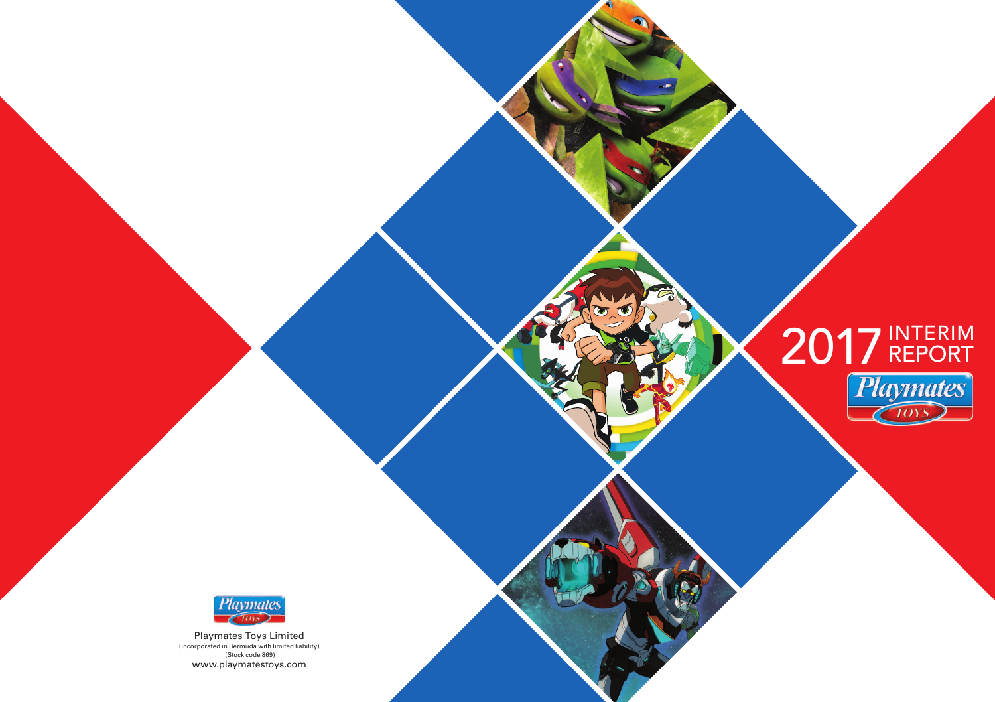

 $\sigma$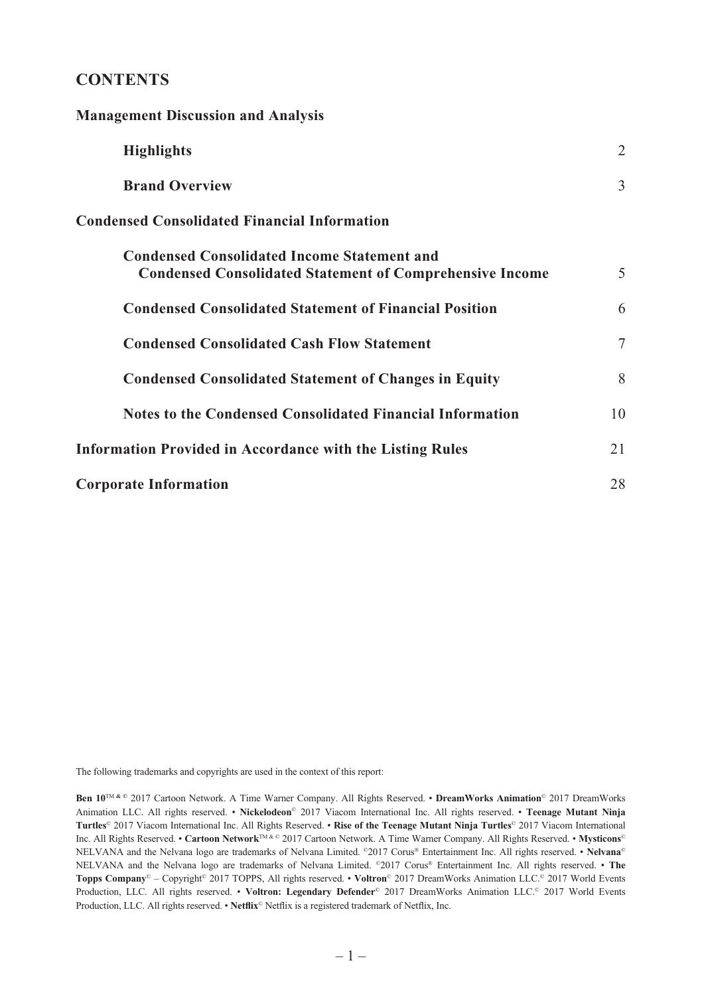# **CONTENTS**

**Management Discussion and Analysis**

| гланадениент ризсиззют ани генатуэгэ                                                                                  |    |
|-----------------------------------------------------------------------------------------------------------------------|----|
| <b>Highlights</b>                                                                                                     | 2  |
| <b>Brand Overview</b>                                                                                                 | 3  |
| <b>Condensed Consolidated Financial Information</b>                                                                   |    |
| <b>Condensed Consolidated Income Statement and</b><br><b>Condensed Consolidated Statement of Comprehensive Income</b> | 5  |
| <b>Condensed Consolidated Statement of Financial Position</b>                                                         | 6  |
| <b>Condensed Consolidated Cash Flow Statement</b>                                                                     | 7  |
| <b>Condensed Consolidated Statement of Changes in Equity</b>                                                          | 8  |
| Notes to the Condensed Consolidated Financial Information                                                             | 10 |
| <b>Information Provided in Accordance with the Listing Rules</b>                                                      | 21 |
| <b>Corporate Information</b>                                                                                          | 28 |

The following trademarks and copyrights are used in the context of this report:

**Ben 10**TM **& ©** 2017 Cartoon Network. A Time Warner Company. All Rights Reserved. • **DreamWorks Animation**© 2017 DreamWorks Animation LLC. All rights reserved. • **Nickelodeon**© 2017 Viacom International Inc. All rights reserved. • **Teenage Mutant Ninja Turtles**© 2017 Viacom International Inc. All Rights Reserved. • **Rise of the Teenage Mutant Ninja Turtles**© 2017 Viacom International Inc. All Rights Reserved. • **Cartoon Network**TM & © 2017 Cartoon Network. A Time Warner Company. All Rights Reserved. • **Mysticons**© NELVANA and the Nelvana logo are trademarks of Nelvana Limited. ©2017 Corus® Entertainment Inc. All rights reserved. • **Nelvana**© NELVANA and the Nelvana logo are trademarks of Nelvana Limited. ©2017 Corus® Entertainment Inc. All rights reserved. • **The Topps Company**© – Copyright© 2017 TOPPS, All rights reserved. • **Voltron**© 2017 DreamWorks Animation LLC.© 2017 World Events Production, LLC. All rights reserved. • **Voltron: Legendary Defender**© 2017 DreamWorks Animation LLC.© 2017 World Events Production, LLC. All rights reserved. • **Netflix**<sup>©</sup> Netflix is a registered trademark of Netflix, Inc.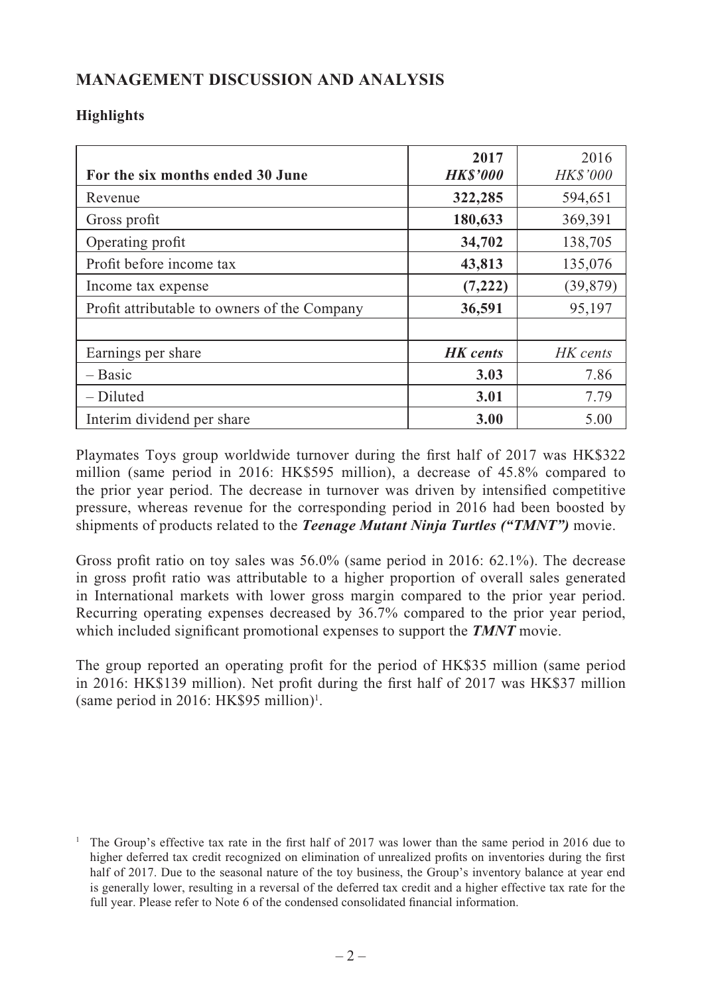# **MANAGEMENT DISCUSSION AND ANALYSIS**

# **Highlights**

| For the six months ended 30 June             | 2017<br><b>HK\$'000</b> | 2016<br><b>HK\$'000</b> |
|----------------------------------------------|-------------------------|-------------------------|
| Revenue                                      | 322,285                 | 594,651                 |
| Gross profit                                 | 180,633                 | 369,391                 |
| Operating profit                             | 34,702                  | 138,705                 |
| Profit before income tax                     | 43,813                  | 135,076                 |
| Income tax expense                           | (7, 222)                | (39, 879)               |
| Profit attributable to owners of the Company | 36,591                  | 95,197                  |
|                                              |                         |                         |
| Earnings per share                           | <b>HK</b> cents         | HK cents                |
| $-$ Basic                                    | 3.03                    | 7.86                    |
| $-Diluted$                                   | 3.01                    | 7.79                    |
| Interim dividend per share                   | 3.00                    | 5.00                    |

Playmates Toys group worldwide turnover during the first half of 2017 was HK\$322 million (same period in 2016: HK\$595 million), a decrease of 45.8% compared to the prior year period. The decrease in turnover was driven by intensified competitive pressure, whereas revenue for the corresponding period in 2016 had been boosted by shipments of products related to the *Teenage Mutant Ninja Turtles ("TMNT")* movie.

Gross profit ratio on toy sales was  $56.0\%$  (same period in 2016: 62.1%). The decrease in gross profit ratio was attributable to a higher proportion of overall sales generated in International markets with lower gross margin compared to the prior year period. Recurring operating expenses decreased by 36.7% compared to the prior year period, which included significant promotional expenses to support the **TMNT** movie.

The group reported an operating profit for the period of HK\$35 million (same period in 2016: HK\$139 million). Net profit during the first half of  $2017$  was HK\$37 million  $(same period in 2016: HK$95 million)<sup>1</sup>.$ 

<sup>&</sup>lt;sup>1</sup> The Group's effective tax rate in the first half of 2017 was lower than the same period in 2016 due to higher deferred tax credit recognized on elimination of unrealized profits on inventories during the first half of 2017. Due to the seasonal nature of the toy business, the Group's inventory balance at year end is generally lower, resulting in a reversal of the deferred tax credit and a higher effective tax rate for the full year. Please refer to Note 6 of the condensed consolidated financial information.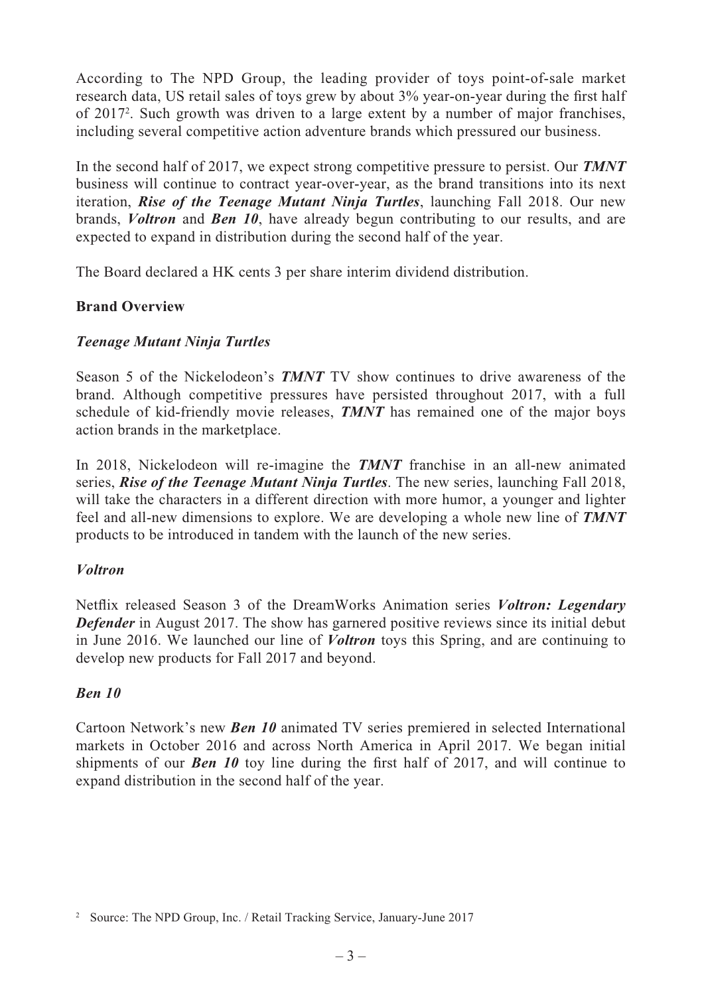According to The NPD Group, the leading provider of toys point-of-sale market research data, US retail sales of toys grew by about 3% year-on-year during the first half of 20172 . Such growth was driven to a large extent by a number of major franchises, including several competitive action adventure brands which pressured our business.

In the second half of 2017, we expect strong competitive pressure to persist. Our *TMNT* business will continue to contract year-over-year, as the brand transitions into its next iteration, *Rise of the Teenage Mutant Ninja Turtles*, launching Fall 2018. Our new brands, *Voltron* and *Ben 10*, have already begun contributing to our results, and are expected to expand in distribution during the second half of the year.

The Board declared a HK cents 3 per share interim dividend distribution.

# **Brand Overview**

### *Teenage Mutant Ninja Turtles*

Season 5 of the Nickelodeon's *TMNT* TV show continues to drive awareness of the brand. Although competitive pressures have persisted throughout 2017, with a full schedule of kid-friendly movie releases, *TMNT* has remained one of the major boys action brands in the marketplace.

In 2018, Nickelodeon will re-imagine the *TMNT* franchise in an all-new animated series, *Rise of the Teenage Mutant Ninja Turtles*. The new series, launching Fall 2018, will take the characters in a different direction with more humor, a younger and lighter feel and all-new dimensions to explore. We are developing a whole new line of *TMNT* products to be introduced in tandem with the launch of the new series.

### *Voltron*

Netflix released Season 3 of the DreamWorks Animation series *Voltron: Legendary Defender* in August 2017. The show has garnered positive reviews since its initial debut in June 2016. We launched our line of *Voltron* toys this Spring, and are continuing to develop new products for Fall 2017 and beyond.

# *Ben 10*

Cartoon Network's new *Ben 10* animated TV series premiered in selected International markets in October 2016 and across North America in April 2017. We began initial shipments of our *Ben 10* toy line during the first half of 2017, and will continue to expand distribution in the second half of the year.

<sup>&</sup>lt;sup>2</sup> Source: The NPD Group, Inc. / Retail Tracking Service, January-June 2017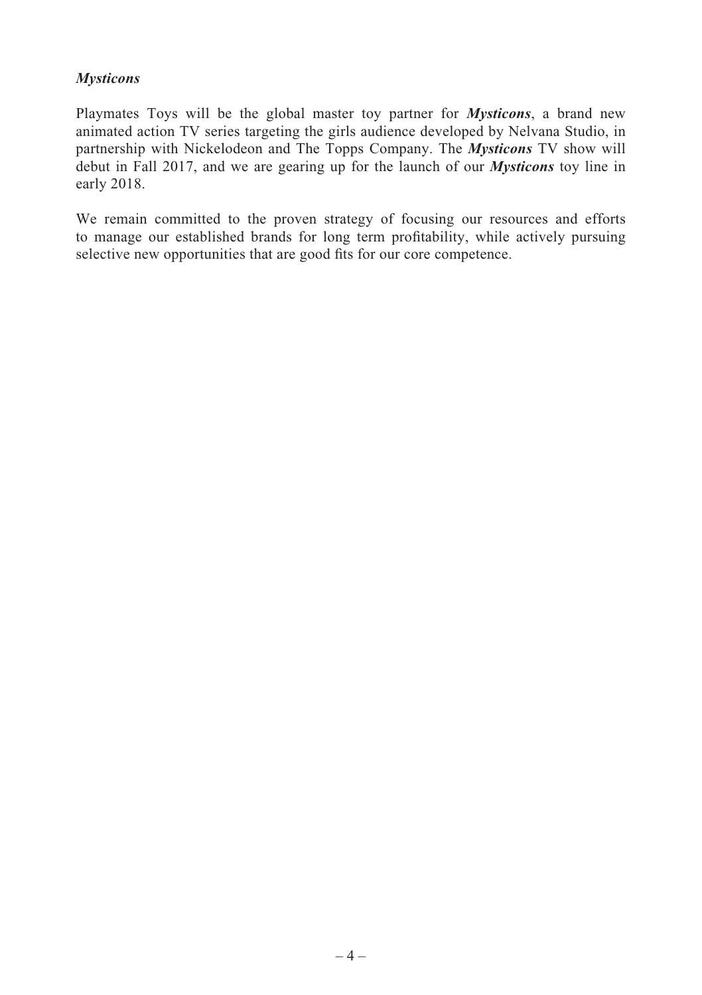## *Mysticons*

Playmates Toys will be the global master toy partner for *Mysticons*, a brand new animated action TV series targeting the girls audience developed by Nelvana Studio, in partnership with Nickelodeon and The Topps Company. The *Mysticons* TV show will debut in Fall 2017, and we are gearing up for the launch of our *Mysticons* toy line in early 2018.

We remain committed to the proven strategy of focusing our resources and efforts to manage our established brands for long term profitability, while actively pursuing selective new opportunities that are good fits for our core competence.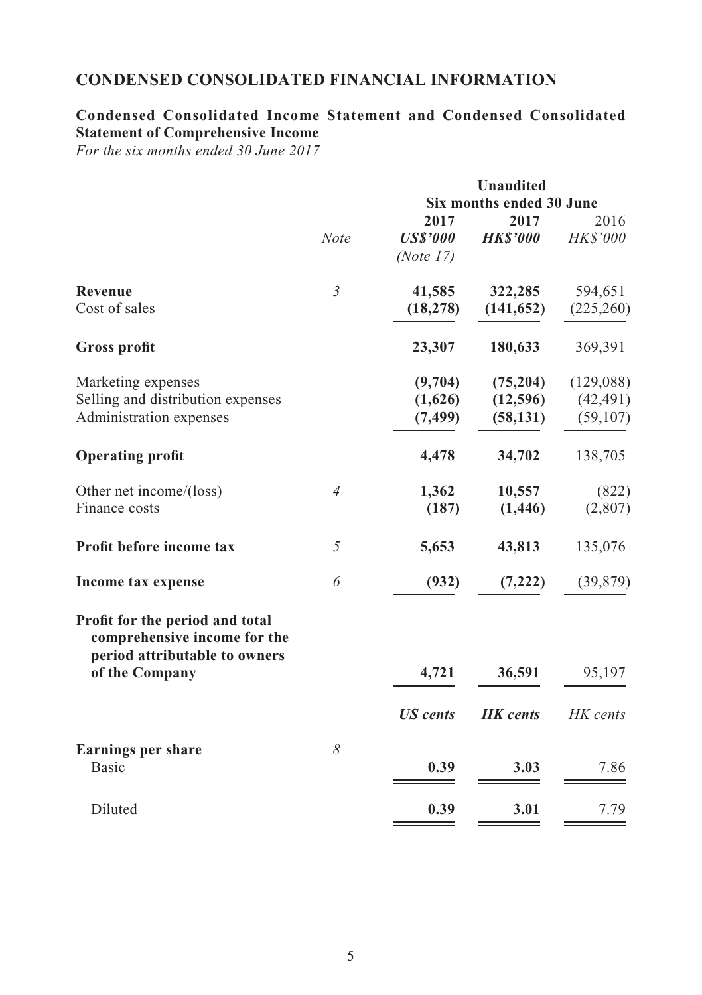# **CONDENSED CONSOLIDATED FINANCIAL INFORMATION**

# **Condensed Consolidated Income Statement and Condensed Consolidated Statement of Comprehensive Income**

*For the six months ended 30 June 2017*

|                                                                 |                |                 | <b>Unaudited</b>         |                 |
|-----------------------------------------------------------------|----------------|-----------------|--------------------------|-----------------|
|                                                                 |                |                 | Six months ended 30 June |                 |
|                                                                 |                | 2017            | 2017                     | 2016            |
|                                                                 | <b>Note</b>    | <b>USS'000</b>  | <b>HKS'000</b>           | <b>HK\$'000</b> |
|                                                                 |                | (Note $17$ )    |                          |                 |
| <b>Revenue</b>                                                  | $\mathfrak{Z}$ | 41,585          | 322,285                  | 594,651         |
| Cost of sales                                                   |                | (18, 278)       | (141, 652)               | (225,260)       |
| <b>Gross profit</b>                                             |                | 23,307          | 180,633                  | 369,391         |
| Marketing expenses                                              |                | (9,704)         | (75, 204)                | (129,088)       |
| Selling and distribution expenses                               |                | (1,626)         | (12,596)                 | (42, 491)       |
| Administration expenses                                         |                | (7, 499)        | (58, 131)                | (59, 107)       |
| <b>Operating profit</b>                                         |                | 4,478           | 34,702                   | 138,705         |
| Other net income/(loss)                                         | $\overline{4}$ | 1,362           | 10,557                   | (822)           |
| Finance costs                                                   |                | (187)           | (1, 446)                 | (2,807)         |
| Profit before income tax                                        | 5              | 5,653           | 43,813                   | 135,076         |
| Income tax expense                                              | 6              | (932)           | (7, 222)                 | (39, 879)       |
| Profit for the period and total<br>comprehensive income for the |                |                 |                          |                 |
| period attributable to owners<br>of the Company                 |                | 4,721           | 36,591                   | 95,197          |
|                                                                 |                | <b>US</b> cents | <b>HK</b> cents          | HK cents        |
| <b>Earnings per share</b><br>Basic                              | 8              | 0.39            | 3.03                     | 7.86            |
| Diluted                                                         |                | 0.39            | 3.01                     | 7.79            |
|                                                                 |                |                 |                          |                 |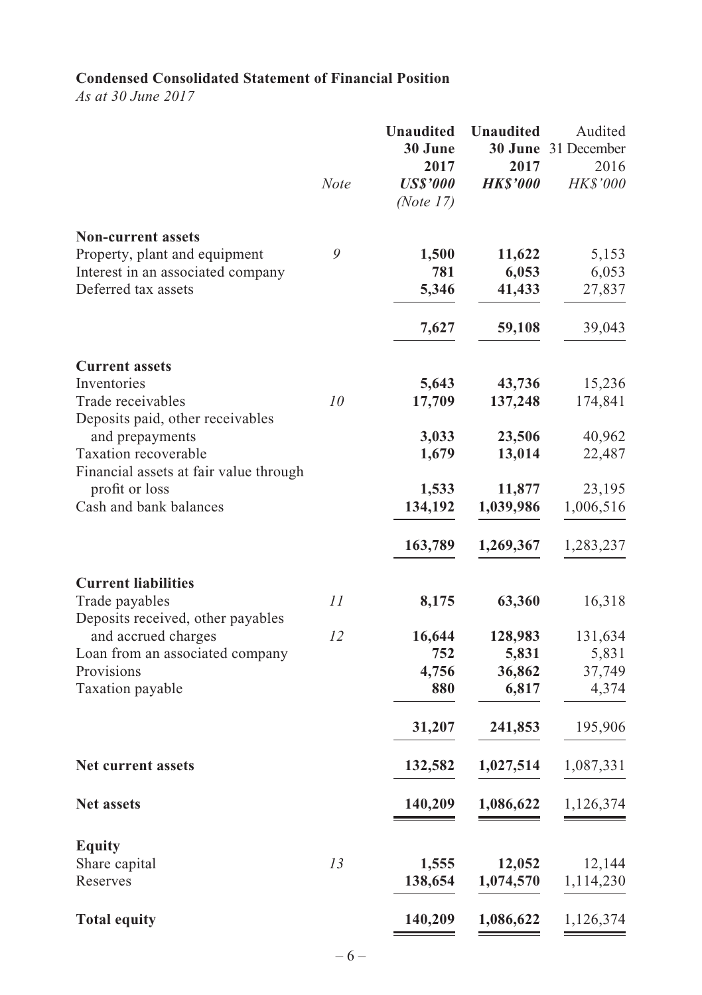# **Condensed Consolidated Statement of Financial Position**

*As at 30 June 2017*

|                                                                    |      | <b>Unaudited</b><br>30 June<br>2017 | <b>Unaudited</b><br>2017 | Audited<br>30 June 31 December<br>2016 |
|--------------------------------------------------------------------|------|-------------------------------------|--------------------------|----------------------------------------|
|                                                                    | Note | <b>US\$'000</b><br>(Note 17)        | <b>HKS'000</b>           | HK\$'000                               |
| <b>Non-current assets</b>                                          | 9    |                                     |                          |                                        |
| Property, plant and equipment<br>Interest in an associated company |      | 1,500<br>781                        | 11,622                   | 5,153<br>6,053                         |
| Deferred tax assets                                                |      | 5,346                               | 6,053<br>41,433          | 27,837                                 |
|                                                                    |      | 7,627                               | 59,108                   | 39,043                                 |
| <b>Current assets</b>                                              |      |                                     |                          |                                        |
| Inventories                                                        |      | 5,643                               | 43,736                   | 15,236                                 |
| Trade receivables<br>Deposits paid, other receivables              | 10   | 17,709                              | 137,248                  | 174,841                                |
| and prepayments                                                    |      | 3,033                               | 23,506                   | 40,962                                 |
| Taxation recoverable                                               |      | 1,679                               | 13,014                   | 22,487                                 |
| Financial assets at fair value through<br>profit or loss           |      | 1,533                               | 11,877                   | 23,195                                 |
| Cash and bank balances                                             |      | 134,192                             | 1,039,986                | 1,006,516                              |
|                                                                    |      |                                     |                          |                                        |
|                                                                    |      | 163,789                             | 1,269,367                | 1,283,237                              |
| <b>Current liabilities</b>                                         |      |                                     |                          |                                        |
| Trade payables                                                     | II   | 8,175                               | 63,360                   | 16,318                                 |
| Deposits received, other payables<br>and accrued charges           | 12   | 16,644                              | 128,983                  | 131,634                                |
| Loan from an associated company                                    |      | 752                                 | 5,831                    | 5,831                                  |
| Provisions                                                         |      | 4,756                               | 36,862                   | 37,749                                 |
| Taxation payable                                                   |      | 880                                 | 6,817                    | 4,374                                  |
|                                                                    |      | 31,207                              | 241,853                  | 195,906                                |
| Net current assets                                                 |      | 132,582                             | 1,027,514                | 1,087,331                              |
| <b>Net assets</b>                                                  |      | 140,209                             | 1,086,622                | 1,126,374                              |
| Equity                                                             |      |                                     |                          |                                        |
| Share capital                                                      | 13   | 1,555                               | 12,052                   | 12,144                                 |
| Reserves                                                           |      | 138,654                             | 1,074,570                | 1,114,230                              |
| <b>Total equity</b>                                                |      | 140,209                             | 1,086,622                | 1,126,374                              |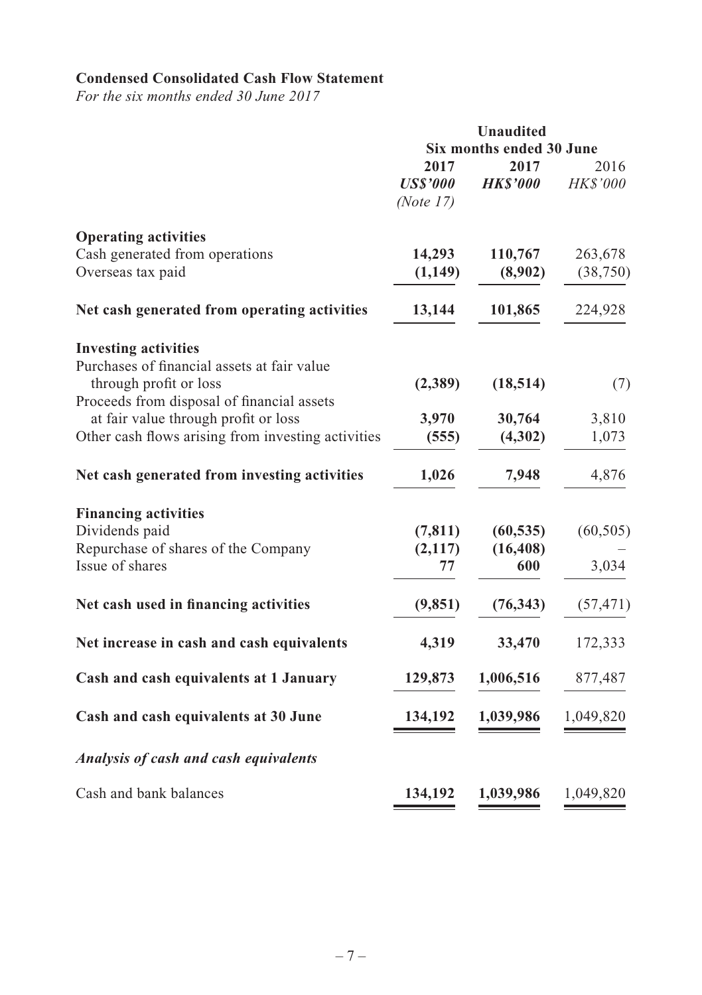# **Condensed Consolidated Cash Flow Statement**

*For the six months ended 30 June 2017*

|                                                    |                                         | <b>Unaudited</b>         |                  |  |  |
|----------------------------------------------------|-----------------------------------------|--------------------------|------------------|--|--|
|                                                    |                                         | Six months ended 30 June |                  |  |  |
|                                                    | 2017<br><b>US\$'000</b><br>(Note $17$ ) | 2017<br><b>HK\$'000</b>  | 2016<br>HK\$'000 |  |  |
| <b>Operating activities</b>                        |                                         |                          |                  |  |  |
| Cash generated from operations                     | 14,293                                  | 110,767                  | 263,678          |  |  |
| Overseas tax paid                                  | (1,149)                                 | (8,902)                  | (38, 750)        |  |  |
| Net cash generated from operating activities       | 13,144                                  | 101,865                  | 224,928          |  |  |
| <b>Investing activities</b>                        |                                         |                          |                  |  |  |
| Purchases of financial assets at fair value        |                                         |                          |                  |  |  |
| through profit or loss                             | (2,389)                                 | (18, 514)                | (7)              |  |  |
| Proceeds from disposal of financial assets         |                                         |                          |                  |  |  |
| at fair value through profit or loss               | 3,970                                   | 30,764                   | 3,810            |  |  |
| Other cash flows arising from investing activities | (555)                                   | (4,302)                  | 1,073            |  |  |
| Net cash generated from investing activities       | 1,026                                   | 7,948                    | 4,876            |  |  |
| <b>Financing activities</b>                        |                                         |                          |                  |  |  |
| Dividends paid                                     | (7, 811)                                | (60, 535)                | (60, 505)        |  |  |
| Repurchase of shares of the Company                | (2,117)                                 | (16, 408)                |                  |  |  |
| Issue of shares                                    | 77                                      | 600                      | 3,034            |  |  |
| Net cash used in financing activities              | (9, 851)                                | (76, 343)                | (57, 471)        |  |  |
| Net increase in cash and cash equivalents          | 4,319                                   | 33,470                   | 172,333          |  |  |
| Cash and cash equivalents at 1 January             | 129,873                                 | 1,006,516                | 877,487          |  |  |
| Cash and cash equivalents at 30 June               | 134,192                                 | 1,039,986                | 1,049,820        |  |  |
| Analysis of cash and cash equivalents              |                                         |                          |                  |  |  |
| Cash and bank balances                             | 134,192                                 | 1,039,986                | 1,049,820        |  |  |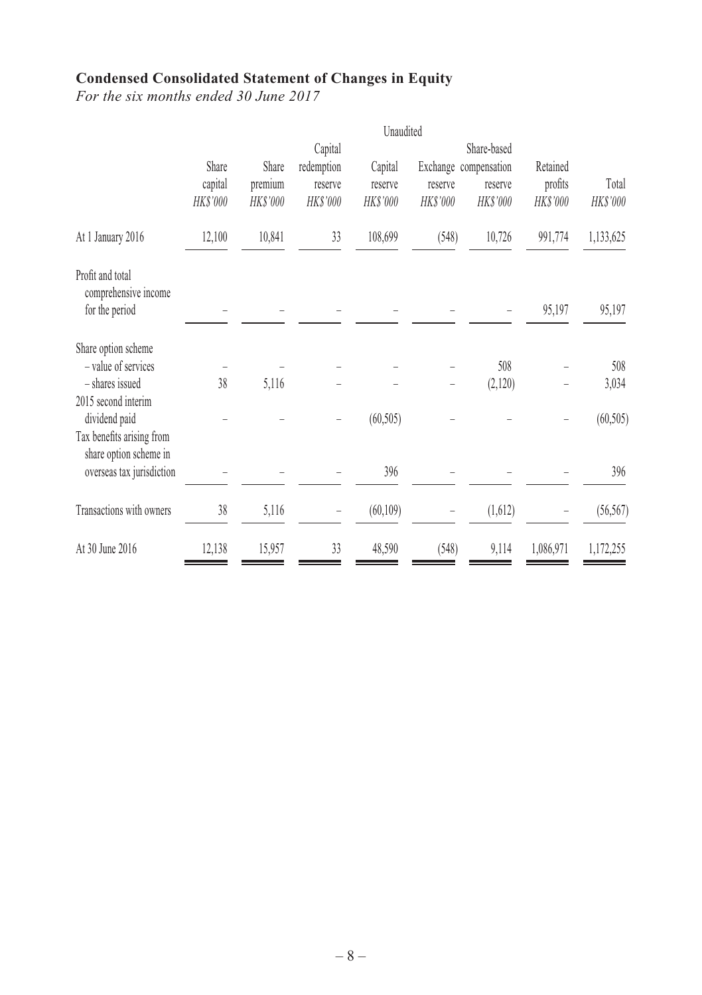# **Condensed Consolidated Statement of Changes in Equity**

*For the six months ended 30 June 2017*

|          |         | Capital    |           |           | Share-based |                                  |           |
|----------|---------|------------|-----------|-----------|-------------|----------------------------------|-----------|
| Share    | Share   | redemption | Capital   |           |             | Retained                         |           |
| capital  | premium | reserve    | reserve   | reserve   | reserve     | profits                          | Total     |
| HK\$'000 | HKS'000 | HK\$'000   | HK\$'000  | HK\$'000  | HK\$'000    | HK\$'000                         | HK\$'000  |
| 12,100   | 10,841  | 33         | 108,699   | (548)     | 10,726      | 991,774                          | 1,133,625 |
|          |         |            |           |           |             |                                  |           |
|          |         |            |           |           |             | 95,197                           | 95,197    |
|          |         |            |           |           |             |                                  |           |
|          |         |            |           |           | 508         |                                  | 508       |
| 38       | 5,116   |            |           |           | (2,120)     |                                  | 3,034     |
|          |         |            |           |           |             |                                  |           |
|          |         |            | (60, 505) |           |             |                                  | (60, 505) |
|          |         |            |           |           |             |                                  |           |
|          |         |            | 396       |           |             |                                  | 396       |
|          |         |            |           |           |             |                                  |           |
|          |         |            |           |           |             |                                  | (56, 567) |
| 12,138   | 15,957  | 33         | 48,590    | (548)     | 9,114       | 1,086,971                        | 1,172,255 |
|          | 38      | 5,116      |           | (60, 109) | Unaudited   | Exchange compensation<br>(1,612) |           |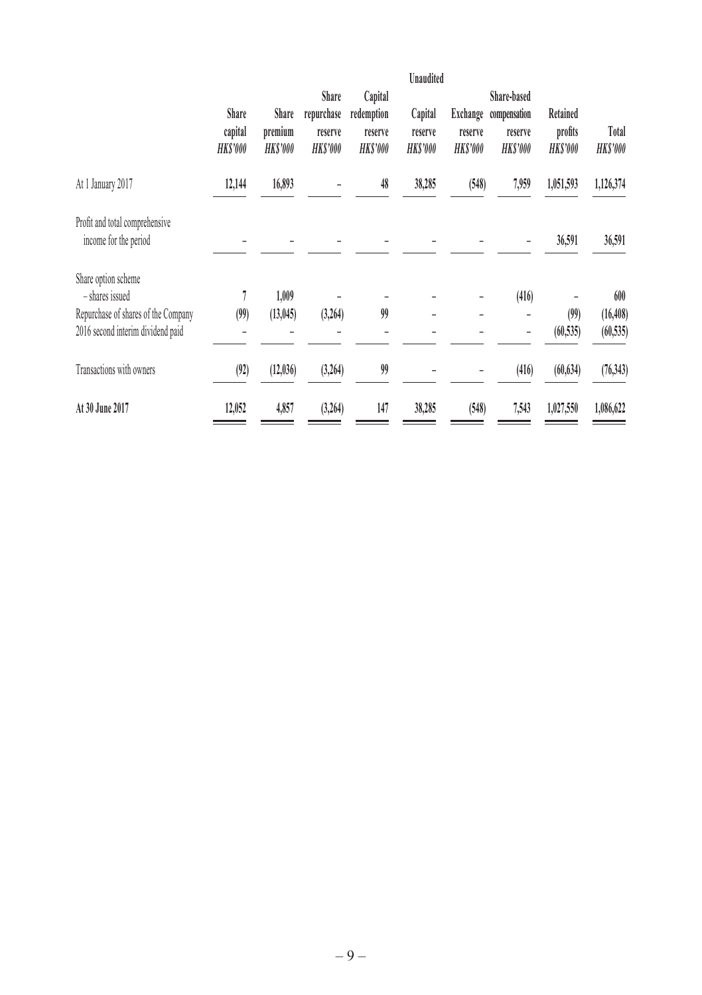|                                                         | Share<br>capital | Share<br>premium | Share<br>repurchase<br>reserve | Capital<br>redemption<br>reserve | Unaudited<br>Capital<br>reserve | Exchange<br>reserve | Share-based<br>compensation<br>reserve | Retained<br>profits | Total           |
|---------------------------------------------------------|------------------|------------------|--------------------------------|----------------------------------|---------------------------------|---------------------|----------------------------------------|---------------------|-----------------|
|                                                         | <b>HKS'000</b>   | <b>HKS'000</b>   | HKS'000                        | HKS'000                          | <b>HKS'000</b>                  | <b>HKS'000</b>      | <b>HKS'000</b>                         | HKS'000             | <b>HK\$'000</b> |
| At 1 January 2017                                       | 12,144           | 16,893           |                                | 48                               | 38,285                          | (548)               | 7,959                                  | 1,051,593           | 1,126,374       |
| Profit and total comprehensive<br>income for the period |                  |                  |                                |                                  |                                 |                     |                                        | 36,591              | 36,591          |
| Share option scheme                                     |                  |                  |                                |                                  |                                 |                     |                                        |                     |                 |
| - shares issued                                         |                  | 1,009            |                                |                                  |                                 |                     | (416)                                  |                     | 600             |
| Repurchase of shares of the Company                     | (99)             | (13, 045)        | (3,264)                        | 99                               |                                 |                     |                                        | (99)                | (16, 408)       |
| 2016 second interim dividend paid                       |                  |                  |                                |                                  |                                 |                     |                                        | (60, 535)           | (60, 535)       |
| Transactions with owners                                | (92)             | (12,036)         | (3, 264)                       | 99                               |                                 |                     | (416)                                  | (60, 634)           | (76, 343)       |
| At 30 June 2017                                         | 12,052           | 4,857            | (3,264)                        | 147                              | 38,285                          | (548)               | 7,543                                  | 1,027,550           | 1,086,622       |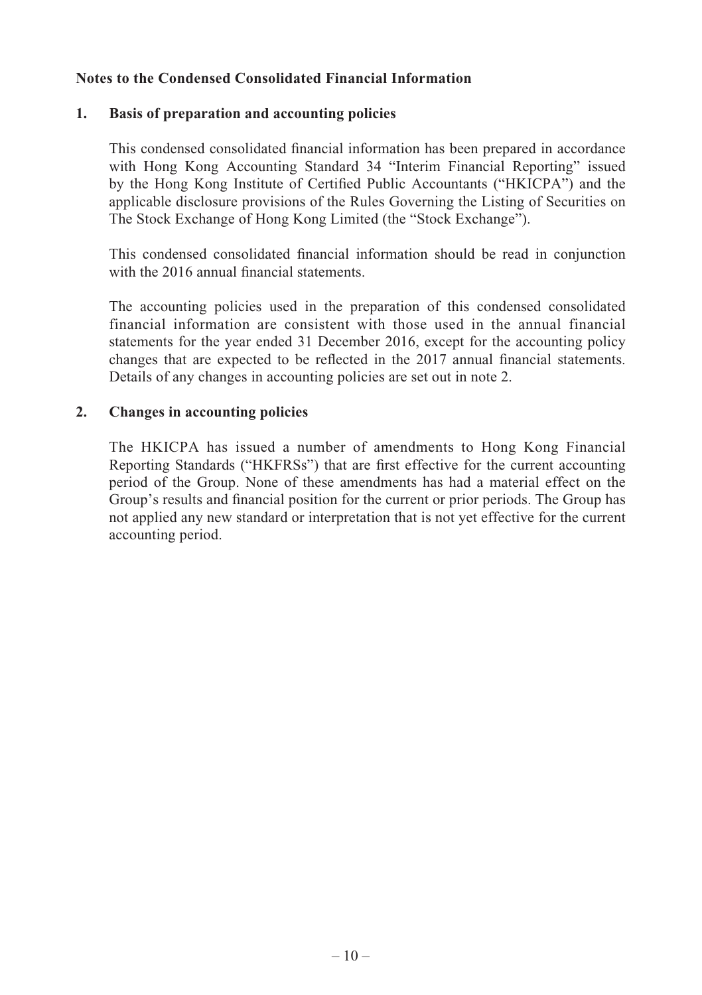## **Notes to the Condensed Consolidated Financial Information**

### **1. Basis of preparation and accounting policies**

This condensed consolidated financial information has been prepared in accordance with Hong Kong Accounting Standard 34 "Interim Financial Reporting" issued by the Hong Kong Institute of Certified Public Accountants ("HKICPA") and the applicable disclosure provisions of the Rules Governing the Listing of Securities on The Stock Exchange of Hong Kong Limited (the "Stock Exchange").

This condensed consolidated financial information should be read in conjunction with the 2016 annual financial statements.

The accounting policies used in the preparation of this condensed consolidated financial information are consistent with those used in the annual financial statements for the year ended 31 December 2016, except for the accounting policy changes that are expected to be reflected in the 2017 annual financial statements. Details of any changes in accounting policies are set out in note 2.

### **2. Changes in accounting policies**

The HKICPA has issued a number of amendments to Hong Kong Financial Reporting Standards ("HKFRSs") that are first effective for the current accounting period of the Group. None of these amendments has had a material effect on the Group's results and financial position for the current or prior periods. The Group has not applied any new standard or interpretation that is not yet effective for the current accounting period.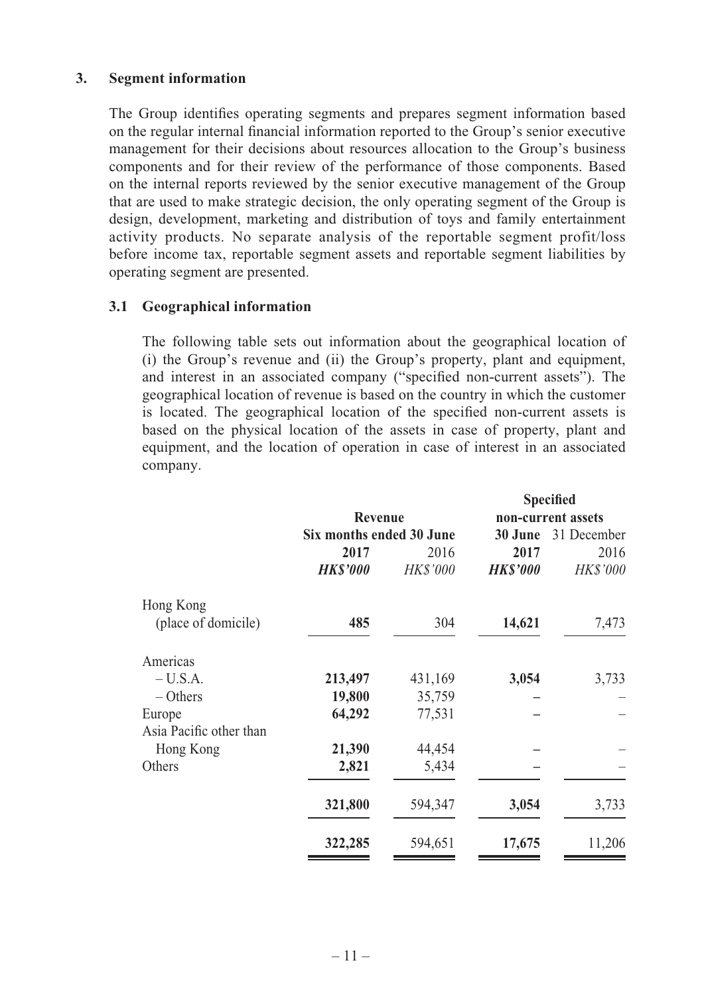### **3. Segment information**

The Group identifies operating segments and prepares segment information based on the regular internal financial information reported to the Group's senior executive management for their decisions about resources allocation to the Group's business components and for their review of the performance of those components. Based on the internal reports reviewed by the senior executive management of the Group that are used to make strategic decision, the only operating segment of the Group is design, development, marketing and distribution of toys and family entertainment activity products. No separate analysis of the reportable segment profit/loss before income tax, reportable segment assets and reportable segment liabilities by operating segment are presented.

### **3.1 Geographical information**

The following table sets out information about the geographical location of (i) the Group's revenue and (ii) the Group's property, plant and equipment, and interest in an associated company ("specified non-current assets"). The geographical location of revenue is based on the country in which the customer is located. The geographical location of the specified non-current assets is based on the physical location of the assets in case of property, plant and equipment, and the location of operation in case of interest in an associated company.

|                         |                          |                 |                 | <b>Specified</b>   |
|-------------------------|--------------------------|-----------------|-----------------|--------------------|
|                         | Revenue                  |                 |                 | non-current assets |
|                         | Six months ended 30 June |                 | 30 June         | 31 December        |
|                         | 2017                     | 2016            | 2017            | 2016               |
|                         | <b>HKS'000</b>           | <b>HK\$'000</b> | <b>HK\$'000</b> | <b>HK\$'000</b>    |
| Hong Kong               |                          |                 |                 |                    |
| (place of domicile)     | 485                      | 304             | 14,621          | 7,473              |
| Americas                |                          |                 |                 |                    |
| $-U.S.A.$               | 213,497                  | 431,169         | 3,054           | 3,733              |
| $-$ Others              | 19,800                   | 35,759          |                 |                    |
| Europe                  | 64,292                   | 77,531          |                 |                    |
| Asia Pacific other than |                          |                 |                 |                    |
| Hong Kong               | 21,390                   | 44,454          |                 |                    |
| Others                  | 2,821                    | 5,434           |                 |                    |
|                         | 321,800                  | 594,347         | 3,054           | 3,733              |
|                         | 322,285                  | 594,651         | 17,675          | 11,206             |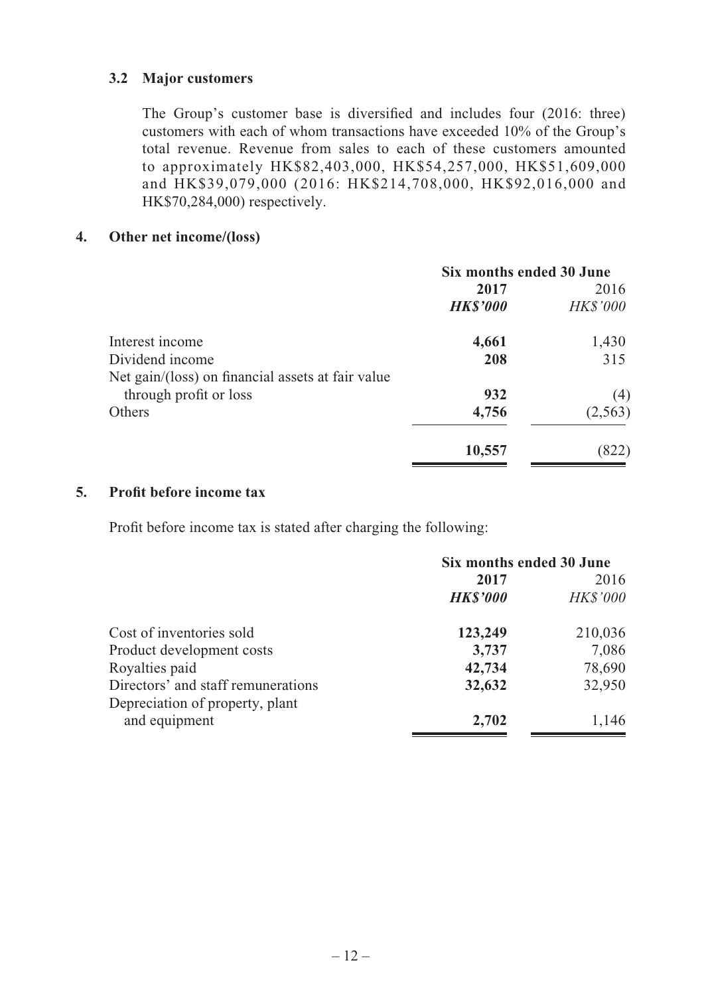## **3.2 Major customers**

The Group's customer base is diversified and includes four (2016: three) customers with each of whom transactions have exceeded 10% of the Group's total revenue. Revenue from sales to each of these customers amounted to approximately HK\$82,403,000, HK\$54,257,000, HK\$51,609,000 and HK\$39,079,000 (2016: HK\$214,708,000, HK\$92,016,000 and HK\$70,284,000) respectively.

## **4. Other net income/(loss)**

|                                                   | Six months ended 30 June |                 |  |
|---------------------------------------------------|--------------------------|-----------------|--|
|                                                   | 2017                     | 2016            |  |
|                                                   | <b>HKS'000</b>           | <b>HK\$'000</b> |  |
| Interest income                                   | 4,661                    | 1,430           |  |
| Dividend income                                   | 208                      | 315             |  |
| Net gain/(loss) on financial assets at fair value |                          |                 |  |
| through profit or loss                            | 932                      | (4)             |  |
| Others                                            | 4,756                    | (2,563)         |  |
|                                                   | 10,557                   |                 |  |

## **5.** Profit before income tax

Profit before income tax is stated after charging the following:

|                                    | Six months ended 30 June |                 |  |
|------------------------------------|--------------------------|-----------------|--|
|                                    | 2017                     | 2016            |  |
|                                    | <b>HKS'000</b>           | <b>HK\$'000</b> |  |
| Cost of inventories sold           | 123,249                  | 210,036         |  |
| Product development costs          | 3,737                    | 7,086           |  |
| Royalties paid                     | 42,734                   | 78,690          |  |
| Directors' and staff remunerations | 32,632                   | 32,950          |  |
| Depreciation of property, plant    |                          |                 |  |
| and equipment                      | 2,702                    | 1,146           |  |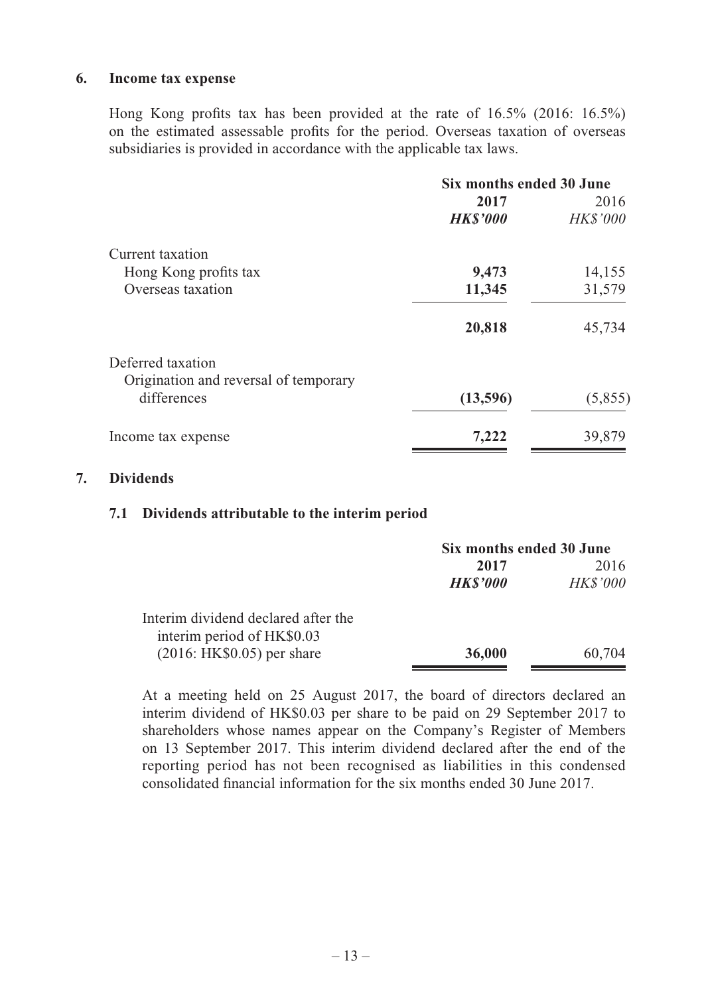#### **6. Income tax expense**

Hong Kong profits tax has been provided at the rate of  $16.5\%$  (2016:  $16.5\%$ ) on the estimated assessable profits for the period. Overseas taxation of overseas subsidiaries is provided in accordance with the applicable tax laws.

| Six months ended 30 June |                 |  |
|--------------------------|-----------------|--|
| 2017                     | 2016            |  |
| <b>HK\$'000</b>          | <b>HK\$'000</b> |  |
|                          |                 |  |
| 9,473                    | 14,155          |  |
| 11,345                   | 31,579          |  |
| 20,818                   | 45,734          |  |
|                          |                 |  |
|                          |                 |  |
|                          | (5,855)         |  |
| 7,222                    | 39,879          |  |
|                          | (13,596)        |  |

### **7. Dividends**

### **7.1 Dividends attributable to the interim period**

|                                                                   |                | Six months ended 30 June |  |  |
|-------------------------------------------------------------------|----------------|--------------------------|--|--|
|                                                                   | 2017           | 2016                     |  |  |
|                                                                   | <b>HKS'000</b> | <i>HK\$'000</i>          |  |  |
| Interim dividend declared after the<br>interim period of HK\$0.03 |                |                          |  |  |
| $(2016: HK$0.05)$ per share                                       | 36,000         | 60,704                   |  |  |

At a meeting held on 25 August 2017, the board of directors declared an interim dividend of HK\$0.03 per share to be paid on 29 September 2017 to shareholders whose names appear on the Company's Register of Members on 13 September 2017. This interim dividend declared after the end of the reporting period has not been recognised as liabilities in this condensed consolidated financial information for the six months ended 30 June 2017.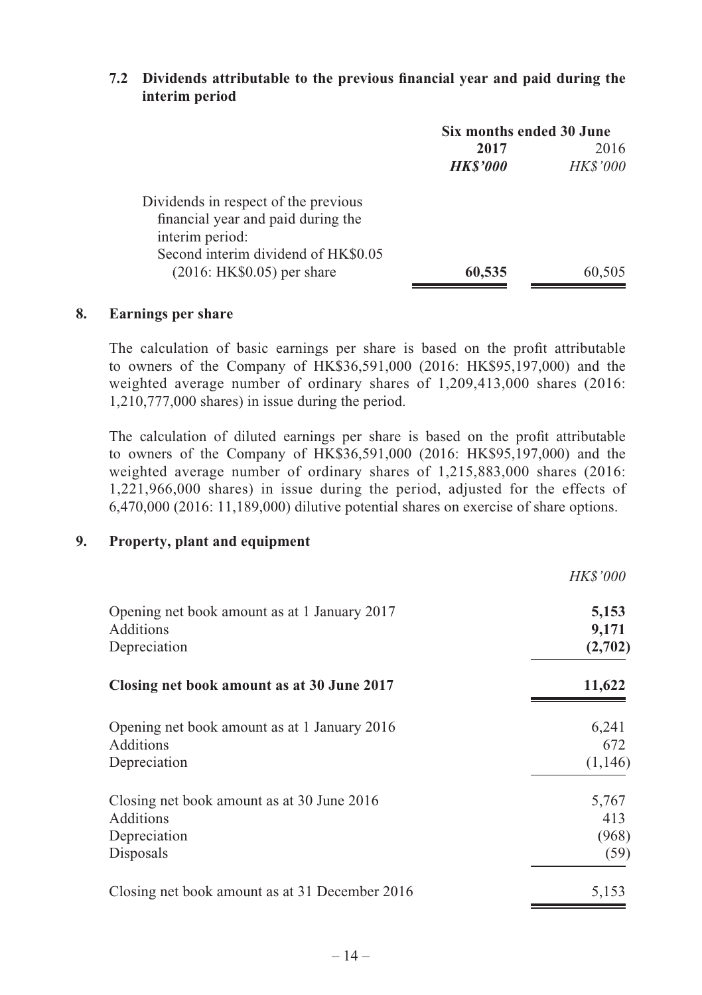### **7.2 Dividends attributable to the previous financial year and paid during the interim period**

|                                      | Six months ended 30 June |                 |  |
|--------------------------------------|--------------------------|-----------------|--|
|                                      | 2017                     | 2016            |  |
|                                      | <b>HKS'000</b>           | <b>HK\$'000</b> |  |
| Dividends in respect of the previous |                          |                 |  |
| financial year and paid during the   |                          |                 |  |
| interim period:                      |                          |                 |  |
| Second interim dividend of HK\$0.05  |                          |                 |  |
| $(2016: HK$0.05)$ per share          | 60,535                   | 60,505          |  |

# **8. Earnings per share**

The calculation of basic earnings per share is based on the profi t attributable to owners of the Company of HK\$36,591,000 (2016: HK\$95,197,000) and the weighted average number of ordinary shares of 1,209,413,000 shares (2016: 1,210,777,000 shares) in issue during the period.

The calculation of diluted earnings per share is based on the profit attributable to owners of the Company of HK\$36,591,000 (2016: HK\$95,197,000) and the weighted average number of ordinary shares of 1,215,883,000 shares (2016: 1,221,966,000 shares) in issue during the period, adjusted for the effects of 6,470,000 (2016: 11,189,000) dilutive potential shares on exercise of share options.

*HK\$'000*

# **9. Property, plant and equipment**

|                                                | HKS 000 |
|------------------------------------------------|---------|
| Opening net book amount as at 1 January 2017   | 5,153   |
| Additions                                      | 9,171   |
| Depreciation                                   | (2,702) |
| Closing net book amount as at 30 June 2017     | 11,622  |
| Opening net book amount as at 1 January 2016   | 6,241   |
| Additions                                      | 672     |
| Depreciation                                   | (1,146) |
| Closing net book amount as at 30 June 2016     | 5,767   |
| Additions                                      | 413     |
| Depreciation                                   | (968)   |
| Disposals                                      | (59)    |
| Closing net book amount as at 31 December 2016 | 5,153   |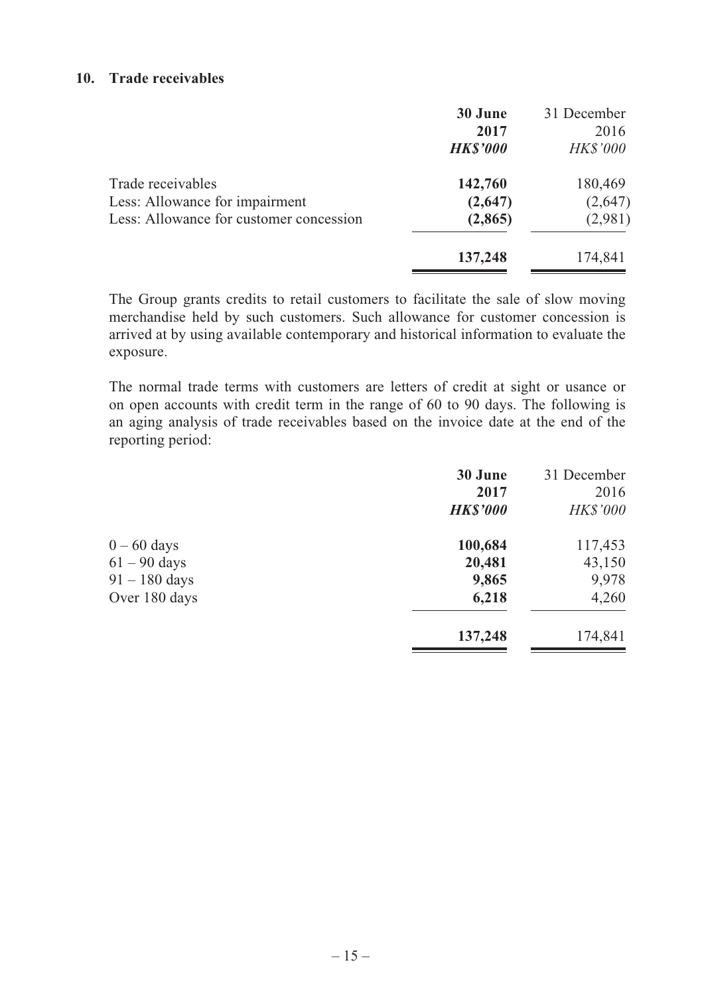### **10. Trade receivables**

|                                                                                                | 30 June<br>2017<br><b>HK\$'000</b> | 31 December<br>2016<br><i>HK\$'000</i> |
|------------------------------------------------------------------------------------------------|------------------------------------|----------------------------------------|
| Trade receivables<br>Less: Allowance for impairment<br>Less: Allowance for customer concession | 142,760<br>(2,647)<br>(2,865)      | 180,469<br>(2,647)<br>(2,981)          |
|                                                                                                | 137,248                            | 174,841                                |

The Group grants credits to retail customers to facilitate the sale of slow moving merchandise held by such customers. Such allowance for customer concession is arrived at by using available contemporary and historical information to evaluate the exposure.

The normal trade terms with customers are letters of credit at sight or usance or on open accounts with credit term in the range of 60 to 90 days. The following is an aging analysis of trade receivables based on the invoice date at the end of the reporting period:

|                 | 30 June         | 31 December     |
|-----------------|-----------------|-----------------|
|                 | 2017            | 2016            |
|                 | <b>HK\$'000</b> | <i>HK\$'000</i> |
| $0 - 60$ days   | 100,684         | 117,453         |
| $61 - 90$ days  | 20,481          | 43,150          |
| $91 - 180$ days | 9,865           | 9,978           |
| Over 180 days   | 6,218           | 4,260           |
|                 | 137,248         | 174,841         |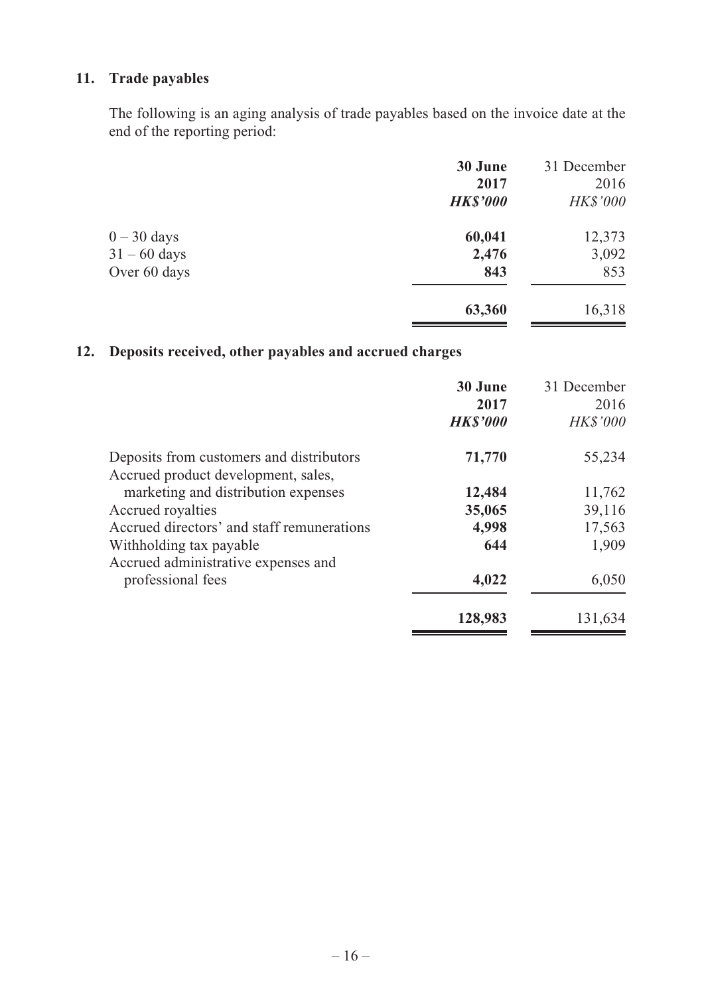# **11. Trade payables**

The following is an aging analysis of trade payables based on the invoice date at the end of the reporting period:

|                | 30 June         | 31 December     |
|----------------|-----------------|-----------------|
|                | 2017            | 2016            |
|                | <b>HK\$'000</b> | <b>HK\$'000</b> |
| $0 - 30$ days  | 60,041          | 12,373          |
| $31 - 60$ days | 2,476           | 3,092           |
| Over 60 days   | 843             | 853             |
|                | 63,360          | 16,318          |

# **12. Deposits received, other payables and accrued charges**

|                                                                                 | 30 June<br>2017<br><b>HKS'000</b> | 31 December<br>2016<br><b>HK\$'000</b> |
|---------------------------------------------------------------------------------|-----------------------------------|----------------------------------------|
| Deposits from customers and distributors<br>Accrued product development, sales, | 71,770                            | 55,234                                 |
| marketing and distribution expenses                                             | 12,484                            | 11,762                                 |
| Accrued royalties                                                               | 35,065                            | 39,116                                 |
| Accrued directors' and staff remunerations                                      | 4,998                             | 17,563                                 |
| Withholding tax payable<br>Accrued administrative expenses and                  | 644                               | 1,909                                  |
| professional fees                                                               | 4,022                             | 6,050                                  |
|                                                                                 | 128,983                           | 131,634                                |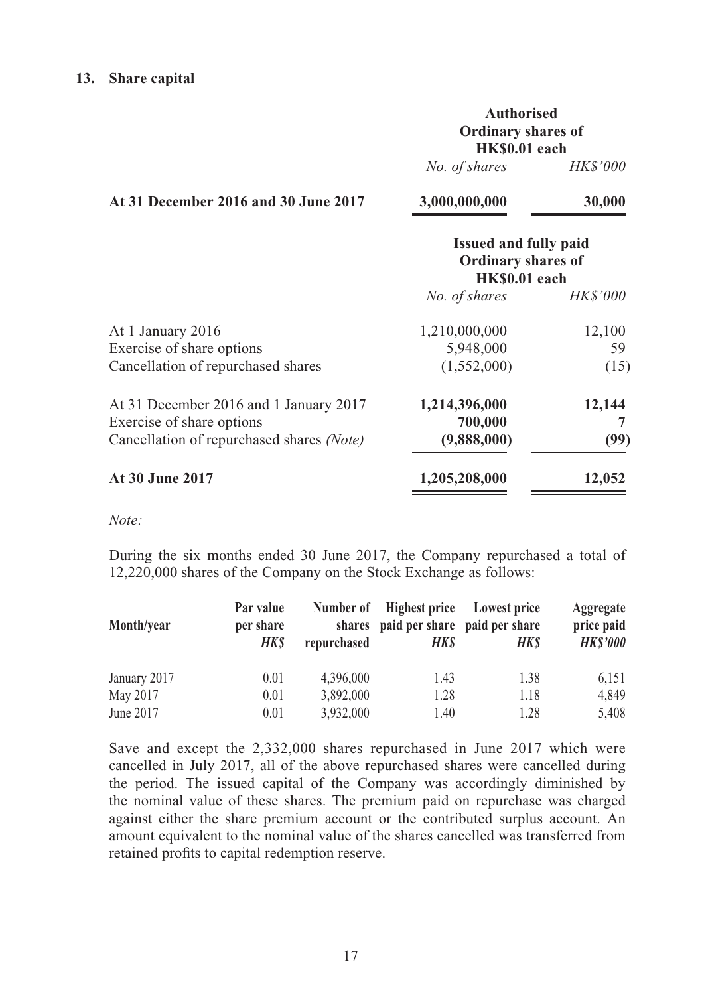#### **13. Share capital**

|                                      | <b>Authorised</b>  |                 |
|--------------------------------------|--------------------|-----------------|
|                                      | Ordinary shares of |                 |
|                                      | HK\$0.01 each      |                 |
|                                      | No. of shares      | <i>HK\$'000</i> |
| At 31 December 2016 and 30 June 2017 | 3,000,000,000      | 30,000          |

|                                                                                                                  | <b>Issued and fully paid</b><br><b>Ordinary shares of</b><br>HK\$0.01 each |                 |  |
|------------------------------------------------------------------------------------------------------------------|----------------------------------------------------------------------------|-----------------|--|
|                                                                                                                  | No. of shares                                                              | <i>HK\$'000</i> |  |
| At 1 January 2016                                                                                                | 1,210,000,000                                                              | 12,100          |  |
| Exercise of share options                                                                                        | 5,948,000                                                                  | 59              |  |
| Cancellation of repurchased shares                                                                               | (1,552,000)                                                                | (15)            |  |
| At 31 December 2016 and 1 January 2017<br>Exercise of share options<br>Cancellation of repurchased shares (Note) | 1,214,396,000<br>700,000<br>(9,888,000)                                    | 12,144<br>(99)  |  |
| <b>At 30 June 2017</b>                                                                                           | 1,205,208,000                                                              | 12,052          |  |

*Note:*

During the six months ended 30 June 2017, the Company repurchased a total of 12,220,000 shares of the Company on the Stock Exchange as follows:

| Month/year   | Par value<br>per share<br><b>HKS</b> | shares<br>repurchased | Number of Highest price<br>paid per share paid per share<br>HKS | Lowest price<br>HKS | Aggregate<br>price paid<br><b>HKS'000</b> |
|--------------|--------------------------------------|-----------------------|-----------------------------------------------------------------|---------------------|-------------------------------------------|
| January 2017 | 0.01                                 | 4.396,000             | 1.43                                                            | 1.38                | 6.151                                     |
| May 2017     | 0.01                                 | 3,892,000             | 1.28                                                            | 1.18                | 4.849                                     |
| June 2017    | 0.01                                 | 3.932.000             | 1.40                                                            | 1.28                | 5,408                                     |

Save and except the 2,332,000 shares repurchased in June 2017 which were cancelled in July 2017, all of the above repurchased shares were cancelled during the period. The issued capital of the Company was accordingly diminished by the nominal value of these shares. The premium paid on repurchase was charged against either the share premium account or the contributed surplus account. An amount equivalent to the nominal value of the shares cancelled was transferred from retained profits to capital redemption reserve.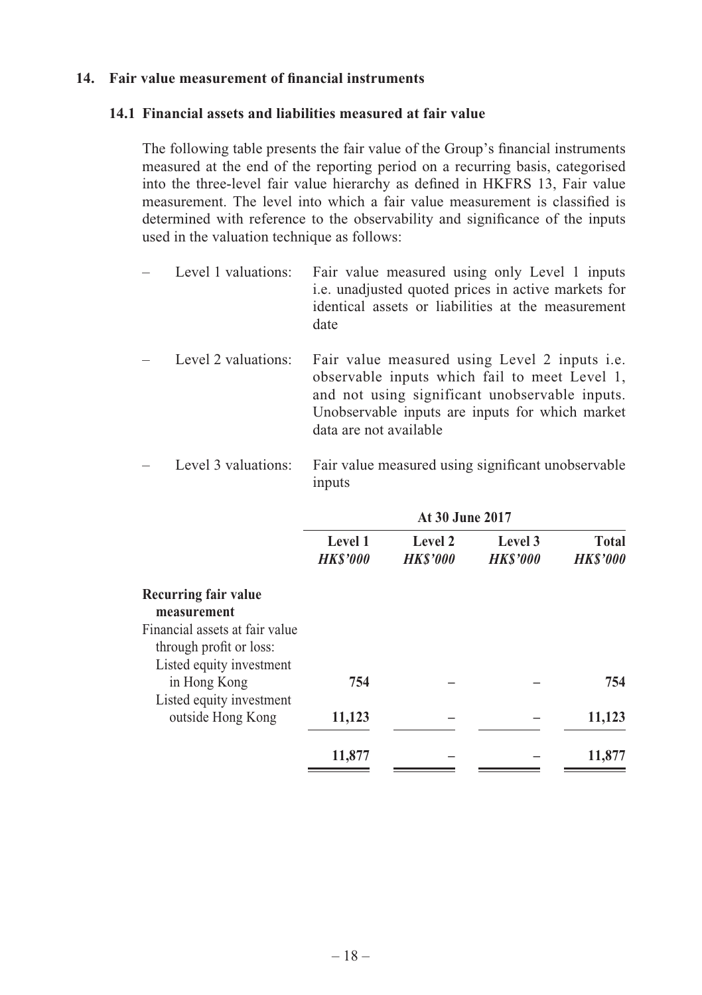### 14. Fair value measurement of financial instruments

### **14.1 Financial assets and liabilities measured at fair value**

The following table presents the fair value of the Group's financial instruments measured at the end of the reporting period on a recurring basis, categorised into the three-level fair value hierarchy as defined in HKFRS 13, Fair value measurement. The level into which a fair value measurement is classified is determined with reference to the observability and significance of the inputs used in the valuation technique as follows:

| Level 1 valuations: | Fair value measured using only Level 1 inputs<br>i.e. unadjusted quoted prices in active markets for<br>identical assets or liabilities at the measurement<br>date                                                                   |
|---------------------|--------------------------------------------------------------------------------------------------------------------------------------------------------------------------------------------------------------------------------------|
| Level 2 valuations: | Fair value measured using Level 2 inputs <i>i.e.</i><br>observable inputs which fail to meet Level 1,<br>and not using significant unobservable inputs.<br>Unobservable inputs are inputs for which market<br>data are not available |
|                     | Level 3 valuations: Fair value measured using significant unobservable                                                                                                                                                               |

inputs

|                                                                                       | At 30 June 2017           |                           |                           |                                |
|---------------------------------------------------------------------------------------|---------------------------|---------------------------|---------------------------|--------------------------------|
|                                                                                       | Level 1<br><b>HKS'000</b> | Level 2<br><b>HKS'000</b> | Level 3<br><b>HKS'000</b> | <b>Total</b><br><b>HKS'000</b> |
| Recurring fair value<br>measurement                                                   |                           |                           |                           |                                |
| Financial assets at fair value<br>through profit or loss:<br>Listed equity investment |                           |                           |                           |                                |
| in Hong Kong                                                                          | 754                       |                           |                           | 754                            |
| Listed equity investment<br>outside Hong Kong                                         | 11,123                    |                           |                           | 11,123                         |
|                                                                                       | 11,877                    |                           |                           | 11,877                         |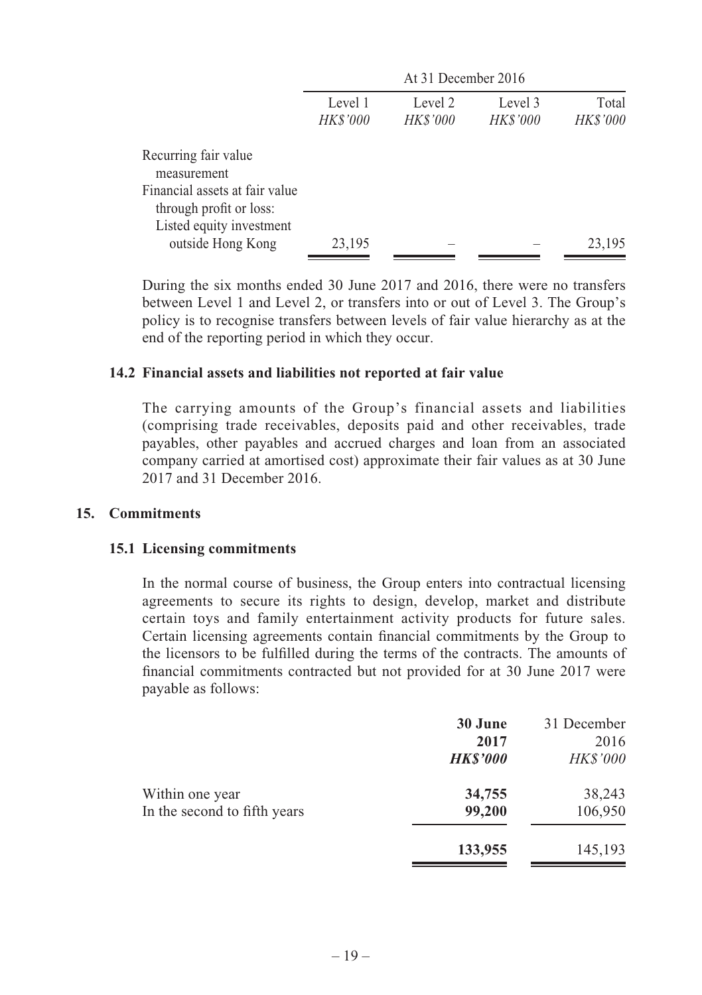|                                                                                       | At 31 December 2016        |                            |                            |                          |
|---------------------------------------------------------------------------------------|----------------------------|----------------------------|----------------------------|--------------------------|
|                                                                                       | Level 1<br><i>HK\$'000</i> | Level 2<br><i>HK\$'000</i> | Level 3<br><i>HK\$'000</i> | Total<br><b>HK\$'000</b> |
| Recurring fair value<br>measurement                                                   |                            |                            |                            |                          |
| Financial assets at fair value<br>through profit or loss:<br>Listed equity investment |                            |                            |                            |                          |
| outside Hong Kong                                                                     | 23,195                     |                            |                            | 23,195                   |

During the six months ended 30 June 2017 and 2016, there were no transfers between Level 1 and Level 2, or transfers into or out of Level 3. The Group's policy is to recognise transfers between levels of fair value hierarchy as at the end of the reporting period in which they occur.

### **14.2 Financial assets and liabilities not reported at fair value**

The carrying amounts of the Group's financial assets and liabilities (comprising trade receivables, deposits paid and other receivables, trade payables, other payables and accrued charges and loan from an associated company carried at amortised cost) approximate their fair values as at 30 June 2017 and 31 December 2016.

#### **15. Commitments**

#### **15.1 Licensing commitments**

In the normal course of business, the Group enters into contractual licensing agreements to secure its rights to design, develop, market and distribute certain toys and family entertainment activity products for future sales. Certain licensing agreements contain financial commitments by the Group to the licensors to be fulfilled during the terms of the contracts. The amounts of financial commitments contracted but not provided for at 30 June 2017 were payable as follows:

|                              | 30 June<br>2017 | 31 December<br>2016 |
|------------------------------|-----------------|---------------------|
|                              | <b>HK\$'000</b> | <b>HK\$'000</b>     |
| Within one year              | 34,755          | 38,243              |
| In the second to fifth years | 99,200          | 106,950             |
|                              | 133,955         | 145,193             |
|                              |                 |                     |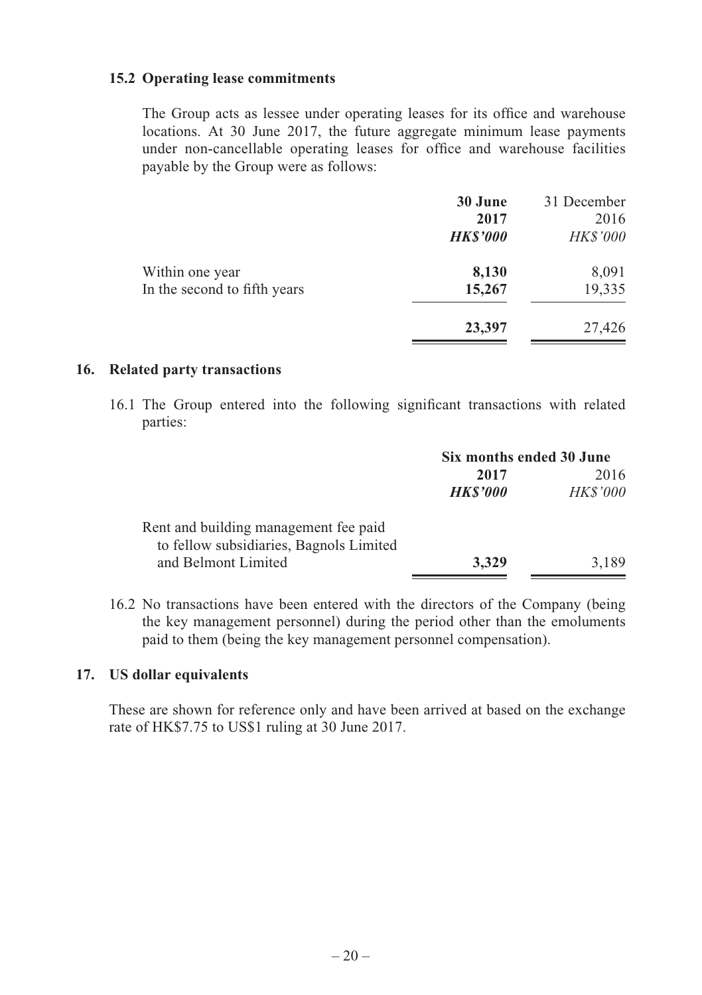### **15.2 Operating lease commitments**

The Group acts as lessee under operating leases for its office and warehouse locations. At 30 June 2017, the future aggregate minimum lease payments under non-cancellable operating leases for office and warehouse facilities payable by the Group were as follows:

|                              | 30 June         | 31 December     |
|------------------------------|-----------------|-----------------|
|                              | 2017            | 2016            |
|                              | <b>HK\$'000</b> | <b>HK\$'000</b> |
| Within one year              | 8,130           | 8,091           |
| In the second to fifth years | 15,267          | 19,335          |
|                              | 23,397          | 27,426          |

## **16. Related party transactions**

16.1 The Group entered into the following significant transactions with related parties:

|                                                                | Six months ended 30 June |                 |
|----------------------------------------------------------------|--------------------------|-----------------|
|                                                                | 2017                     | 2016            |
|                                                                | <b>HKS'000</b>           | <b>HK\$'000</b> |
| Rent and building management fee paid                          |                          |                 |
| to fellow subsidiaries, Bagnols Limited<br>and Belmont Limited | 3,329                    | 3.189           |

16.2 No transactions have been entered with the directors of the Company (being the key management personnel) during the period other than the emoluments paid to them (being the key management personnel compensation).

### **17. US dollar equivalents**

These are shown for reference only and have been arrived at based on the exchange rate of HK\$7.75 to US\$1 ruling at 30 June 2017.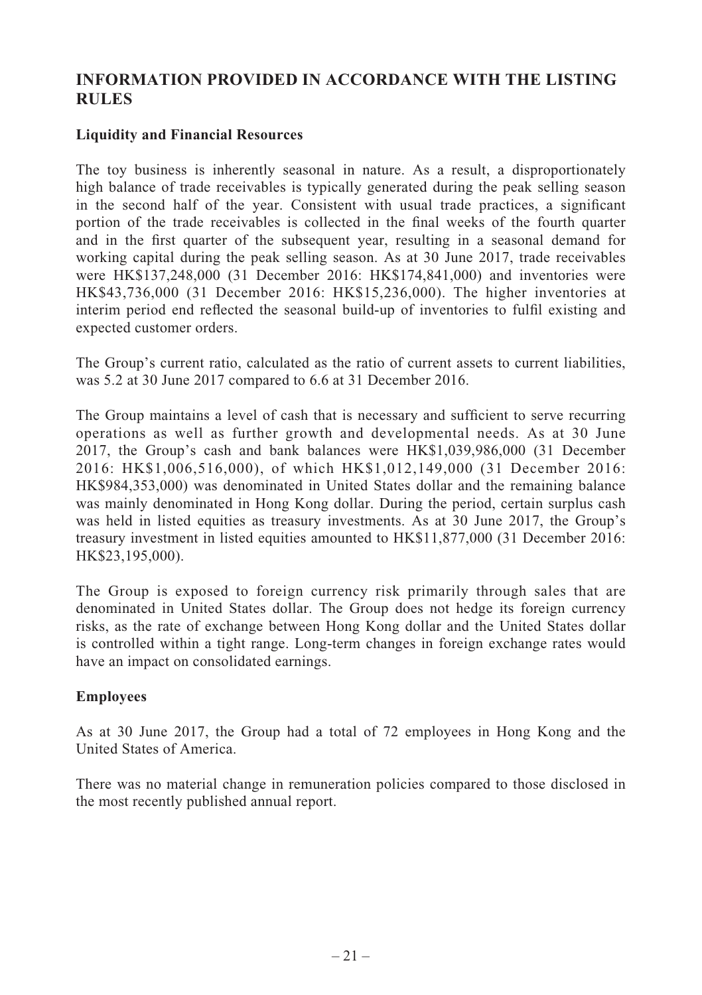# **INFORMATION PROVIDED IN ACCORDANCE WITH THE LISTING RULES**

# **Liquidity and Financial Resources**

The toy business is inherently seasonal in nature. As a result, a disproportionately high balance of trade receivables is typically generated during the peak selling season in the second half of the year. Consistent with usual trade practices, a significant portion of the trade receivables is collected in the final weeks of the fourth quarter and in the first quarter of the subsequent year, resulting in a seasonal demand for working capital during the peak selling season. As at 30 June 2017, trade receivables were HK\$137,248,000 (31 December 2016: HK\$174,841,000) and inventories were HK\$43,736,000 (31 December 2016: HK\$15,236,000). The higher inventories at interim period end reflected the seasonal build-up of inventories to fulfil existing and expected customer orders.

The Group's current ratio, calculated as the ratio of current assets to current liabilities, was 5.2 at 30 June 2017 compared to 6.6 at 31 December 2016.

The Group maintains a level of cash that is necessary and sufficient to serve recurring operations as well as further growth and developmental needs. As at 30 June 2017, the Group's cash and bank balances were HK\$1,039,986,000 (31 December 2016: HK\$1,006,516,000), of which HK\$1,012,149,000 (31 December 2016: HK\$984,353,000) was denominated in United States dollar and the remaining balance was mainly denominated in Hong Kong dollar. During the period, certain surplus cash was held in listed equities as treasury investments. As at 30 June 2017, the Group's treasury investment in listed equities amounted to HK\$11,877,000 (31 December 2016: HK\$23,195,000).

The Group is exposed to foreign currency risk primarily through sales that are denominated in United States dollar. The Group does not hedge its foreign currency risks, as the rate of exchange between Hong Kong dollar and the United States dollar is controlled within a tight range. Long-term changes in foreign exchange rates would have an impact on consolidated earnings.

# **Employees**

As at 30 June 2017, the Group had a total of 72 employees in Hong Kong and the United States of America.

There was no material change in remuneration policies compared to those disclosed in the most recently published annual report.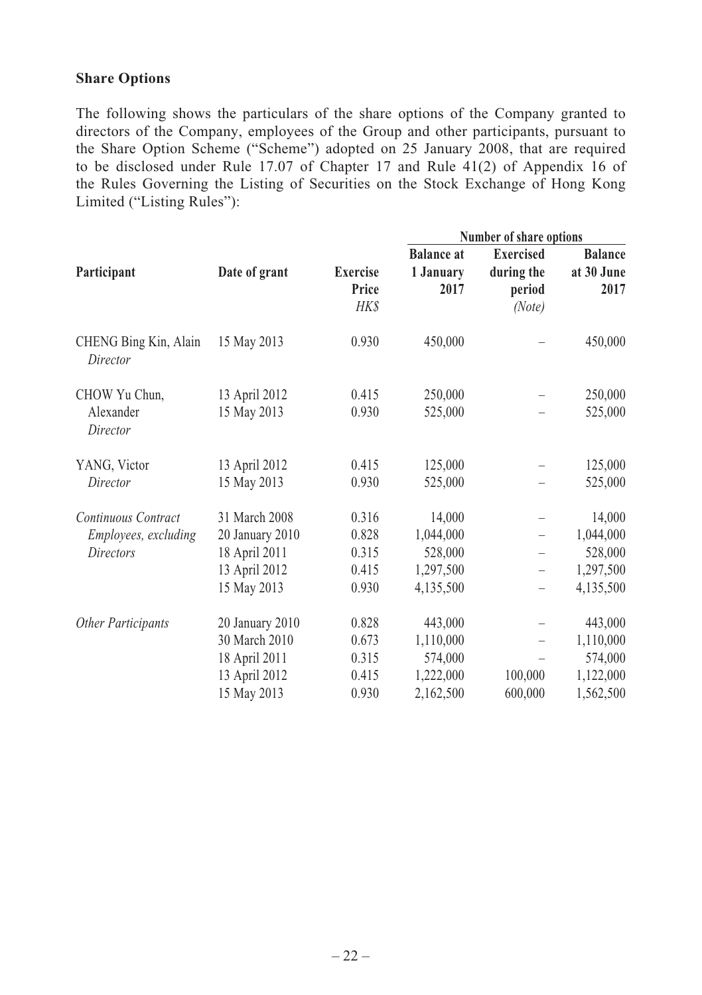### **Share Options**

The following shows the particulars of the share options of the Company granted to directors of the Company, employees of the Group and other participants, pursuant to the Share Option Scheme ("Scheme") adopted on 25 January 2008, that are required to be disclosed under Rule 17.07 of Chapter 17 and Rule 41(2) of Appendix 16 of the Rules Governing the Listing of Securities on the Stock Exchange of Hong Kong Limited ("Listing Rules"):

|                                   |                 |                 | Number of share options |                          |                |
|-----------------------------------|-----------------|-----------------|-------------------------|--------------------------|----------------|
|                                   |                 |                 | <b>Balance</b> at       | <b>Exercised</b>         | <b>Balance</b> |
| Participant                       | Date of grant   | <b>Exercise</b> | 1 January               | during the               | at 30 June     |
|                                   |                 | Price           | 2017                    | period                   | 2017           |
|                                   |                 | <b>HKS</b>      |                         | (Note)                   |                |
| CHENG Bing Kin, Alain<br>Director | 15 May 2013     | 0.930           | 450,000                 |                          | 450,000        |
| CHOW Yu Chun,                     | 13 April 2012   | 0.415           | 250,000                 |                          | 250,000        |
| Alexander<br>Director             | 15 May 2013     | 0.930           | 525,000                 |                          | 525,000        |
| YANG, Victor                      | 13 April 2012   | 0.415           | 125,000                 |                          | 125,000        |
| Director                          | 15 May 2013     | 0.930           | 525,000                 |                          | 525,000        |
| Continuous Contract               | 31 March 2008   | 0.316           | 14,000                  |                          | 14,000         |
| <i>Employees, excluding</i>       | 20 January 2010 | 0.828           | 1,044,000               | $\overline{\phantom{0}}$ | 1,044,000      |
| <b>Directors</b>                  | 18 April 2011   | 0.315           | 528,000                 |                          | 528,000        |
|                                   | 13 April 2012   | 0.415           | 1,297,500               | $\overline{\phantom{0}}$ | 1,297,500      |
|                                   | 15 May 2013     | 0.930           | 4,135,500               | $\overline{\phantom{0}}$ | 4,135,500      |
| Other Participants                | 20 January 2010 | 0.828           | 443,000                 |                          | 443,000        |
|                                   | 30 March 2010   | 0.673           | 1,110,000               |                          | 1,110,000      |
|                                   | 18 April 2011   | 0.315           | 574,000                 |                          | 574,000        |
|                                   | 13 April 2012   | 0.415           | 1,222,000               | 100,000                  | 1,122,000      |
|                                   | 15 May 2013     | 0.930           | 2,162,500               | 600,000                  | 1,562,500      |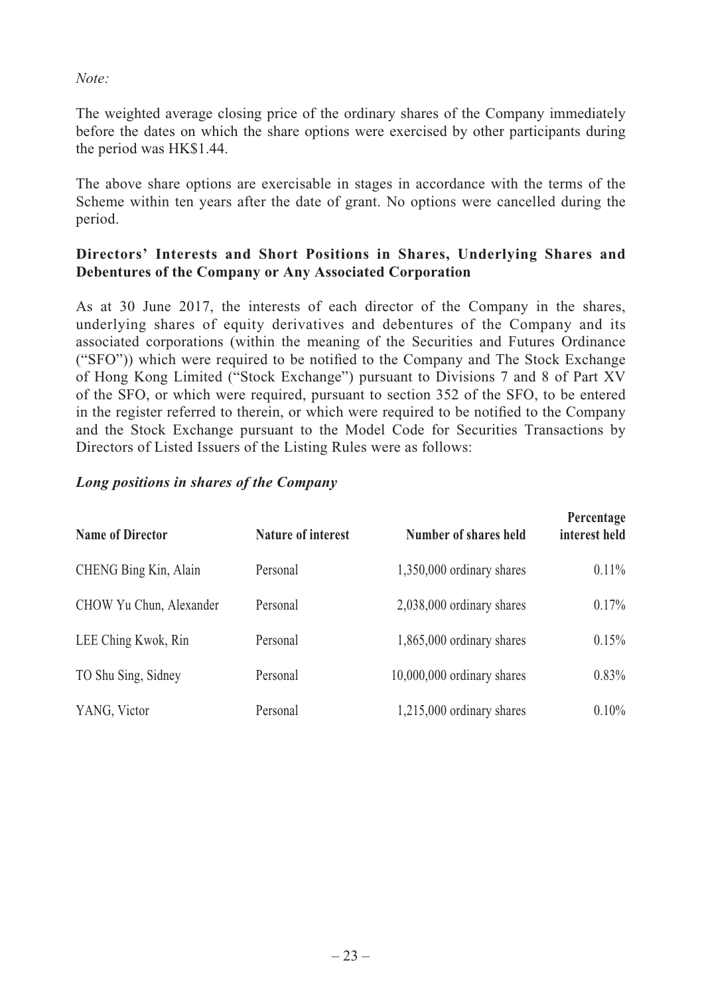*Note:*

The weighted average closing price of the ordinary shares of the Company immediately before the dates on which the share options were exercised by other participants during the period was HK\$1.44.

The above share options are exercisable in stages in accordance with the terms of the Scheme within ten years after the date of grant. No options were cancelled during the period.

# **Directors' Interests and Short Positions in Shares, Underlying Shares and Debentures of the Company or Any Associated Corporation**

As at 30 June 2017, the interests of each director of the Company in the shares, underlying shares of equity derivatives and debentures of the Company and its associated corporations (within the meaning of the Securities and Futures Ordinance ("SFO")) which were required to be notified to the Company and The Stock Exchange of Hong Kong Limited ("Stock Exchange") pursuant to Divisions 7 and 8 of Part XV of the SFO, or which were required, pursuant to section 352 of the SFO, to be entered in the register referred to therein, or which were required to be notified to the Company and the Stock Exchange pursuant to the Model Code for Securities Transactions by Directors of Listed Issuers of the Listing Rules were as follows:

### *Long positions in shares of the Company*

| <b>Name of Director</b> | Nature of interest | Number of shares held      | Percentage<br>interest held |
|-------------------------|--------------------|----------------------------|-----------------------------|
| CHENG Bing Kin, Alain   | Personal           | 1,350,000 ordinary shares  | $0.11\%$                    |
| CHOW Yu Chun, Alexander | Personal           | 2,038,000 ordinary shares  | 0.17%                       |
| LEE Ching Kwok, Rin     | Personal           | 1,865,000 ordinary shares  | 0.15%                       |
| TO Shu Sing, Sidney     | Personal           | 10,000,000 ordinary shares | $0.83\%$                    |
| YANG, Victor            | Personal           | 1,215,000 ordinary shares  | $0.10\%$                    |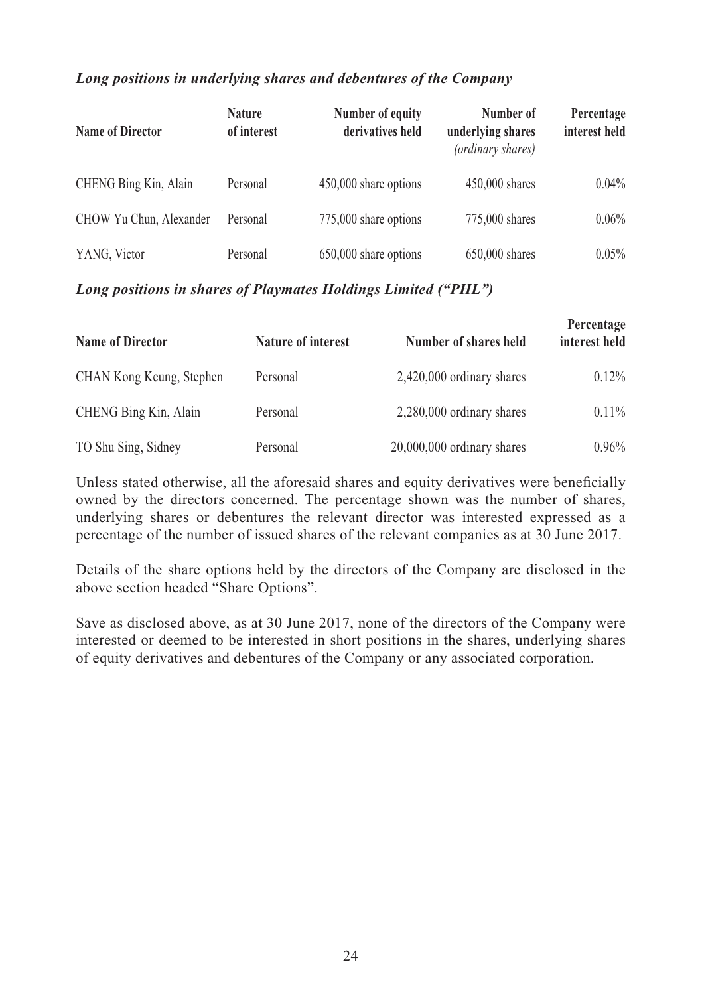# *Long positions in underlying shares and debentures of the Company*

| <b>Name of Director</b> | <b>Nature</b><br>of interest | Number of equity<br>derivatives held | Number of<br>underlying shares<br>(ordinary shares) | Percentage<br>interest held |
|-------------------------|------------------------------|--------------------------------------|-----------------------------------------------------|-----------------------------|
| CHENG Bing Kin, Alain   | Personal                     | 450,000 share options                | 450,000 shares                                      | $0.04\%$                    |
| CHOW Yu Chun, Alexander | Personal                     | 775,000 share options                | 775,000 shares                                      | $0.06\%$                    |
| YANG, Victor            | Personal                     | 650,000 share options                | 650,000 shares                                      | 0.05%                       |

# *Long positions in shares of Playmates Holdings Limited ("PHL")*

| Name of Director         | <b>Nature of interest</b> | Number of shares held      | Percentage<br>interest held |
|--------------------------|---------------------------|----------------------------|-----------------------------|
| CHAN Kong Keung, Stephen | Personal                  | 2,420,000 ordinary shares  | $0.12\%$                    |
| CHENG Bing Kin, Alain    | Personal                  | 2,280,000 ordinary shares  | $0.11\%$                    |
| TO Shu Sing, Sidney      | Personal                  | 20,000,000 ordinary shares | $0.96\%$                    |

Unless stated otherwise, all the aforesaid shares and equity derivatives were beneficially owned by the directors concerned. The percentage shown was the number of shares, underlying shares or debentures the relevant director was interested expressed as a percentage of the number of issued shares of the relevant companies as at 30 June 2017.

Details of the share options held by the directors of the Company are disclosed in the above section headed "Share Options".

Save as disclosed above, as at 30 June 2017, none of the directors of the Company were interested or deemed to be interested in short positions in the shares, underlying shares of equity derivatives and debentures of the Company or any associated corporation.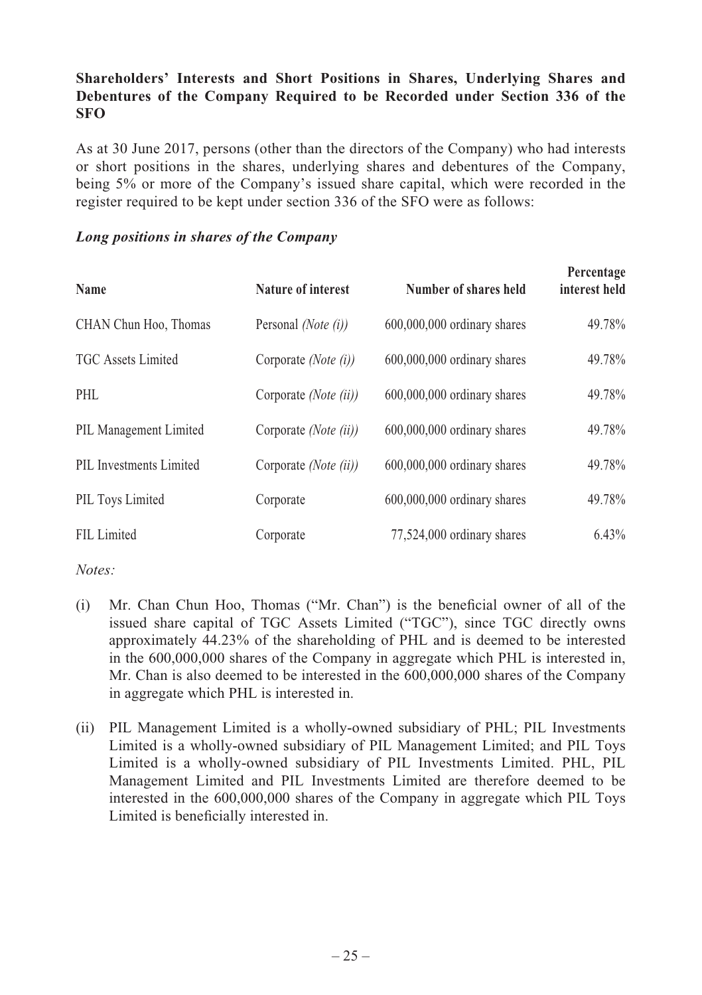# **Shareholders' Interests and Short Positions in Shares, Underlying Shares and Debentures of the Company Required to be Recorded under Section 336 of the SFO**

As at 30 June 2017, persons (other than the directors of the Company) who had interests or short positions in the shares, underlying shares and debentures of the Company, being 5% or more of the Company's issued share capital, which were recorded in the register required to be kept under section 336 of the SFO were as follows:

### *Long positions in shares of the Company*

| Name                      | Nature of interest    | Number of shares held         | Percentage<br>interest held |
|---------------------------|-----------------------|-------------------------------|-----------------------------|
| CHAN Chun Hoo, Thomas     | Personal (Note (i))   | $600,000,000$ ordinary shares | 49.78%                      |
| <b>TGC</b> Assets Limited | Corporate (Note (i))  | 600,000,000 ordinary shares   | 49.78%                      |
| PHL                       | Corporate (Note (ii)) | $600,000,000$ ordinary shares | 49.78%                      |
| PIL Management Limited    | Corporate (Note (ii)) | $600,000,000$ ordinary shares | 49.78%                      |
| PIL Investments Limited   | Corporate (Note (ii)) | $600,000,000$ ordinary shares | 49.78%                      |
| PIL Toys Limited          | Corporate             | $600,000,000$ ordinary shares | 49.78%                      |
| FIL Limited               | Corporate             | 77,524,000 ordinary shares    | 6.43%                       |

*Notes:*

- $(i)$  Mr. Chan Chun Hoo, Thomas ("Mr. Chan") is the beneficial owner of all of the issued share capital of TGC Assets Limited ("TGC"), since TGC directly owns approximately 44.23% of the shareholding of PHL and is deemed to be interested in the 600,000,000 shares of the Company in aggregate which PHL is interested in, Mr. Chan is also deemed to be interested in the 600,000,000 shares of the Company in aggregate which PHL is interested in.
- (ii) PIL Management Limited is a wholly-owned subsidiary of PHL; PIL Investments Limited is a wholly-owned subsidiary of PIL Management Limited; and PIL Toys Limited is a wholly-owned subsidiary of PIL Investments Limited. PHL, PIL Management Limited and PIL Investments Limited are therefore deemed to be interested in the 600,000,000 shares of the Company in aggregate which PIL Toys Limited is beneficially interested in.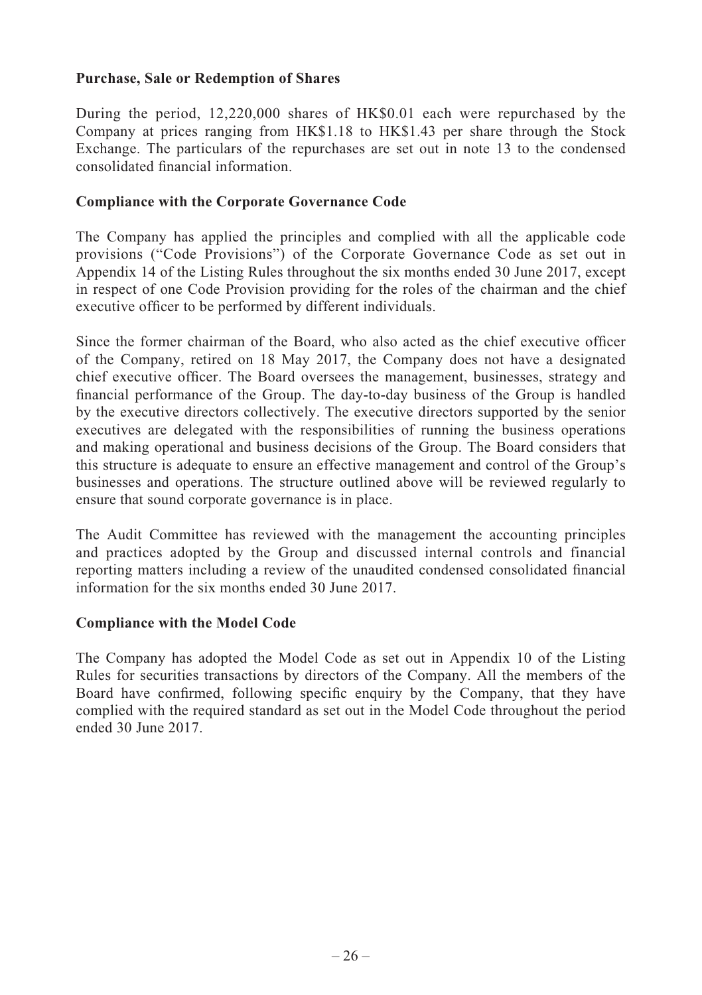## **Purchase, Sale or Redemption of Shares**

During the period, 12,220,000 shares of HK\$0.01 each were repurchased by the Company at prices ranging from HK\$1.18 to HK\$1.43 per share through the Stock Exchange. The particulars of the repurchases are set out in note 13 to the condensed consolidated financial information.

### **Compliance with the Corporate Governance Code**

The Company has applied the principles and complied with all the applicable code provisions ("Code Provisions") of the Corporate Governance Code as set out in Appendix 14 of the Listing Rules throughout the six months ended 30 June 2017, except in respect of one Code Provision providing for the roles of the chairman and the chief executive officer to be performed by different individuals.

Since the former chairman of the Board, who also acted as the chief executive officer of the Company, retired on 18 May 2017, the Company does not have a designated chief executive officer. The Board oversees the management, businesses, strategy and financial performance of the Group. The day-to-day business of the Group is handled by the executive directors collectively. The executive directors supported by the senior executives are delegated with the responsibilities of running the business operations and making operational and business decisions of the Group. The Board considers that this structure is adequate to ensure an effective management and control of the Group's businesses and operations. The structure outlined above will be reviewed regularly to ensure that sound corporate governance is in place.

The Audit Committee has reviewed with the management the accounting principles and practices adopted by the Group and discussed internal controls and financial reporting matters including a review of the unaudited condensed consolidated financial information for the six months ended 30 June 2017.

### **Compliance with the Model Code**

The Company has adopted the Model Code as set out in Appendix 10 of the Listing Rules for securities transactions by directors of the Company. All the members of the Board have confirmed, following specific enquiry by the Company, that they have complied with the required standard as set out in the Model Code throughout the period ended 30 June 2017.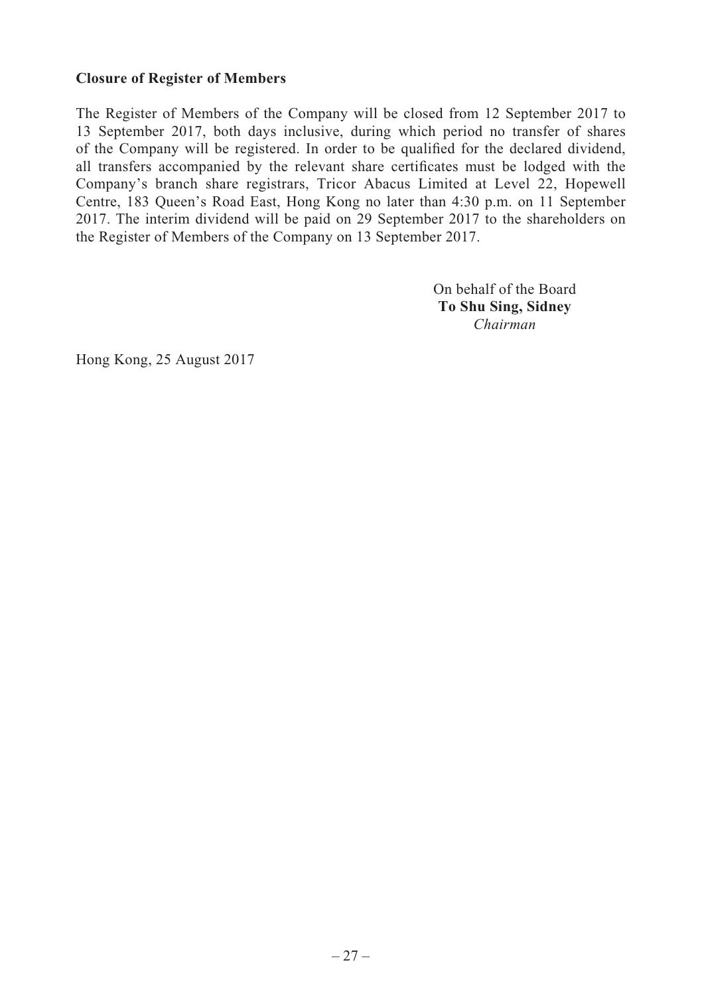# **Closure of Register of Members**

The Register of Members of the Company will be closed from 12 September 2017 to 13 September 2017, both days inclusive, during which period no transfer of shares of the Company will be registered. In order to be qualified for the declared dividend, all transfers accompanied by the relevant share certificates must be lodged with the Company's branch share registrars, Tricor Abacus Limited at Level 22, Hopewell Centre, 183 Queen's Road East, Hong Kong no later than 4:30 p.m. on 11 September 2017. The interim dividend will be paid on 29 September 2017 to the shareholders on the Register of Members of the Company on 13 September 2017.

> On behalf of the Board **To Shu Sing, Sidney** *Chairman*

Hong Kong, 25 August 2017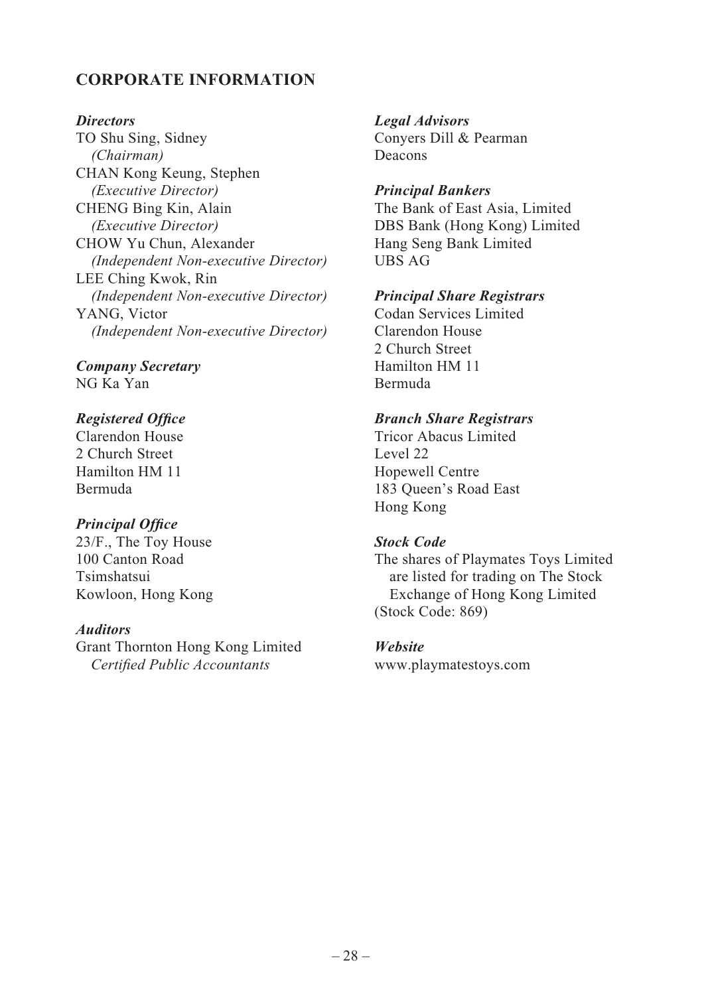# **CORPORATE INFORMATION**

#### *Directors*

TO Shu Sing, Sidney *(Chairman)* CHAN Kong Keung, Stephen *(Executive Director)* CHENG Bing Kin, Alain *(Executive Director)* CHOW Yu Chun, Alexander  *(Independent Non-executive Director)* LEE Ching Kwok, Rin  *(Independent Non-executive Director)* YANG, Victor *(Independent Non-executive Director)*

*Company Secretary* NG Ka Yan

### *Registered Office*

Clarendon House 2 Church Street Hamilton HM 11 Bermuda

# **Principal Office**

23/F., The Toy House 100 Canton Road Tsimshatsui Kowloon, Hong Kong

### *Auditors*

Grant Thornton Hong Kong Limited *Certified Public Accountants* 

*Legal Advisors* Conyers Dill & Pearman Deacons

# *Principal Bankers*

The Bank of East Asia, Limited DBS Bank (Hong Kong) Limited Hang Seng Bank Limited UBS AG

### *Principal Share Registrars*

Codan Services Limited Clarendon House 2 Church Street Hamilton HM 11 Bermuda

### *Branch Share Registrars*

Tricor Abacus Limited Level 22 Hopewell Centre 183 Queen's Road East Hong Kong

#### *Stock Code*

The shares of Playmates Toys Limited are listed for trading on The Stock Exchange of Hong Kong Limited (Stock Code: 869)

#### *Website*

www.playmatestoys.com